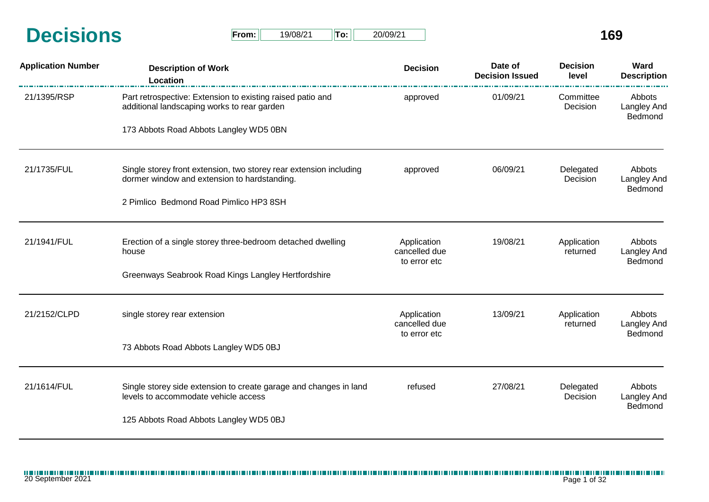|                  |       |          |        |          | $\mathbf{A}$ |
|------------------|-------|----------|--------|----------|--------------|
| <b>Decisions</b> | From: | 19/08/21 | $T$ o: | 20/09/21 |              |

| $From: \Box$ | 19/08/21 | $  $ To: $  $ | 20/09/21 |
|--------------|----------|---------------|----------|
|--------------|----------|---------------|----------|

| <b>Application Number</b> | <b>Description of Work</b><br>Location                                                                                                     | <b>Decision</b>              | Date of<br><b>Decision Issued</b> | <b>Decision</b><br>level | Ward<br><b>Description</b>              |
|---------------------------|--------------------------------------------------------------------------------------------------------------------------------------------|------------------------------|-----------------------------------|--------------------------|-----------------------------------------|
| 21/1395/RSP               | Part retrospective: Extension to existing raised patio and<br>additional landscaping works to rear garden                                  | approved                     | 01/09/21                          | Committee<br>Decision    | Abbots<br><b>Langley And</b><br>Bedmond |
|                           | 173 Abbots Road Abbots Langley WD5 0BN                                                                                                     |                              |                                   |                          |                                         |
| 21/1735/FUL               | 06/09/21<br>Single storey front extension, two storey rear extension including<br>approved<br>dormer window and extension to hardstanding. | Delegated<br>Decision        | Abbots<br>Langley And             |                          |                                         |
|                           | 2 Pimlico Bedmond Road Pimlico HP3 8SH                                                                                                     |                              |                                   | Bedmond                  |                                         |
| 21/1941/FUL               | Erection of a single storey three-bedroom detached dwelling<br>house                                                                       | Application<br>cancelled due | 19/08/21                          | Application<br>returned  | Abbots<br><b>Langley And</b>            |
|                           | Greenways Seabrook Road Kings Langley Hertfordshire                                                                                        | to error etc                 |                                   |                          | Bedmond                                 |
| 21/2152/CLPD              | single storey rear extension                                                                                                               | Application<br>cancelled due | 13/09/21                          | Application<br>returned  | Abbots<br>Langley And                   |
|                           | 73 Abbots Road Abbots Langley WD5 0BJ                                                                                                      | to error etc                 |                                   |                          | Bedmond                                 |
| 21/1614/FUL               | Single storey side extension to create garage and changes in land<br>levels to accommodate vehicle access                                  | refused                      | 27/08/21                          | Delegated<br>Decision    | Abbots<br><b>Langley And</b>            |
|                           | 125 Abbots Road Abbots Langley WD5 0BJ                                                                                                     |                              |                                   |                          | Bedmond                                 |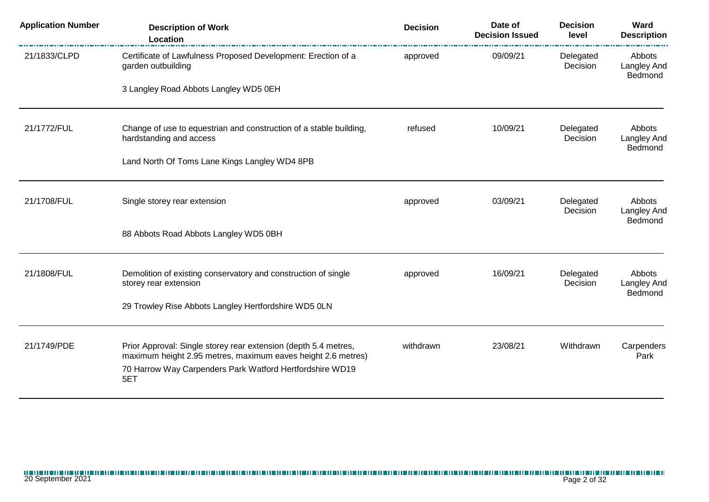| <b>Application Number</b> | <b>Description of Work</b><br>Location                                                                                          | <b>Decision</b> | Date of<br><b>Decision Issued</b> | <b>Decision</b><br>level | Ward<br><b>Description</b>       |
|---------------------------|---------------------------------------------------------------------------------------------------------------------------------|-----------------|-----------------------------------|--------------------------|----------------------------------|
| 21/1833/CLPD              | Certificate of Lawfulness Proposed Development: Erection of a<br>garden outbuilding                                             | approved        | 09/09/21                          | Delegated<br>Decision    | Abbots<br>Langley And<br>Bedmond |
|                           | 3 Langley Road Abbots Langley WD5 0EH                                                                                           |                 |                                   |                          |                                  |
| 21/1772/FUL               | Change of use to equestrian and construction of a stable building,<br>hardstanding and access                                   | refused         | 10/09/21                          | Delegated<br>Decision    | Abbots<br>Langley And<br>Bedmond |
|                           | Land North Of Toms Lane Kings Langley WD4 8PB                                                                                   |                 |                                   |                          |                                  |
| 21/1708/FUL               | Single storey rear extension                                                                                                    | approved        | 03/09/21                          | Delegated<br>Decision    | Abbots<br>Langley And            |
|                           | 88 Abbots Road Abbots Langley WD5 0BH                                                                                           |                 |                                   |                          | Bedmond                          |
| 21/1808/FUL               | Demolition of existing conservatory and construction of single<br>storey rear extension                                         | approved        | 16/09/21                          | Delegated<br>Decision    | Abbots<br>Langley And            |
|                           | 29 Trowley Rise Abbots Langley Hertfordshire WD5 0LN                                                                            |                 |                                   |                          | Bedmond                          |
| 21/1749/PDE               | Prior Approval: Single storey rear extension (depth 5.4 metres,<br>maximum height 2.95 metres, maximum eaves height 2.6 metres) | withdrawn       | 23/08/21                          | Withdrawn                | Carpenders<br>Park               |
|                           | 70 Harrow Way Carpenders Park Watford Hertfordshire WD19<br>5ET                                                                 |                 |                                   |                          |                                  |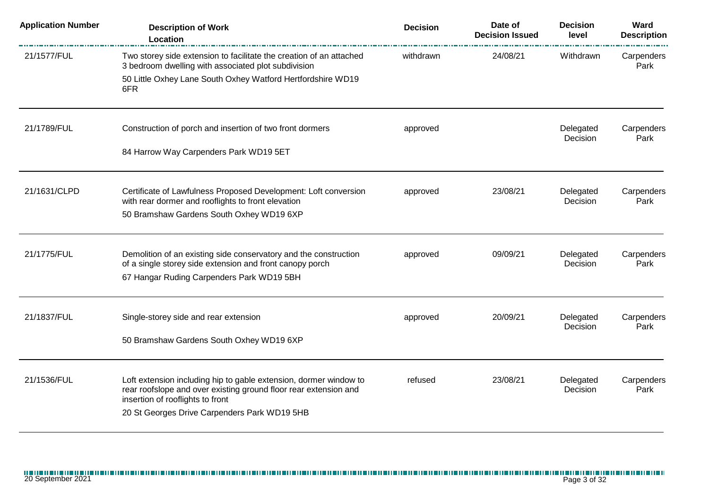| <b>Application Number</b> | <b>Description of Work</b><br>Location                                                                                                               | <b>Decision</b> | Date of<br><b>Decision Issued</b> | <b>Decision</b><br>level | Ward<br><b>Description</b> |
|---------------------------|------------------------------------------------------------------------------------------------------------------------------------------------------|-----------------|-----------------------------------|--------------------------|----------------------------|
| 21/1577/FUL               | Two storey side extension to facilitate the creation of an attached<br>3 bedroom dwelling with associated plot subdivision                           | withdrawn       | 24/08/21                          | Withdrawn                | Carpenders<br>Park         |
|                           | 50 Little Oxhey Lane South Oxhey Watford Hertfordshire WD19<br>6FR                                                                                   |                 |                                   |                          |                            |
| 21/1789/FUL               | Construction of porch and insertion of two front dormers                                                                                             | approved        |                                   | Delegated<br>Decision    | Carpenders<br>Park         |
|                           | 84 Harrow Way Carpenders Park WD19 5ET                                                                                                               |                 |                                   |                          |                            |
| 21/1631/CLPD              | Certificate of Lawfulness Proposed Development: Loft conversion<br>with rear dormer and rooflights to front elevation                                | approved        | 23/08/21                          | Delegated<br>Decision    | Carpenders<br>Park         |
|                           | 50 Bramshaw Gardens South Oxhey WD19 6XP                                                                                                             |                 |                                   |                          |                            |
| 21/1775/FUL               | Demolition of an existing side conservatory and the construction<br>of a single storey side extension and front canopy porch                         | approved        | 09/09/21                          | Delegated<br>Decision    | Carpenders<br>Park         |
|                           | 67 Hangar Ruding Carpenders Park WD19 5BH                                                                                                            |                 |                                   |                          |                            |
| 21/1837/FUL               | Single-storey side and rear extension                                                                                                                | approved        | 20/09/21                          | Delegated<br>Decision    | Carpenders<br>Park         |
|                           | 50 Bramshaw Gardens South Oxhey WD19 6XP                                                                                                             |                 |                                   |                          |                            |
| 21/1536/FUL               | Loft extension including hip to gable extension, dormer window to                                                                                    | refused         | 23/08/21                          | Delegated                | Carpenders                 |
|                           | rear roofslope and over existing ground floor rear extension and<br>insertion of rooflights to front<br>20 St Georges Drive Carpenders Park WD19 5HB |                 |                                   | Decision                 | Park                       |
|                           |                                                                                                                                                      |                 |                                   |                          |                            |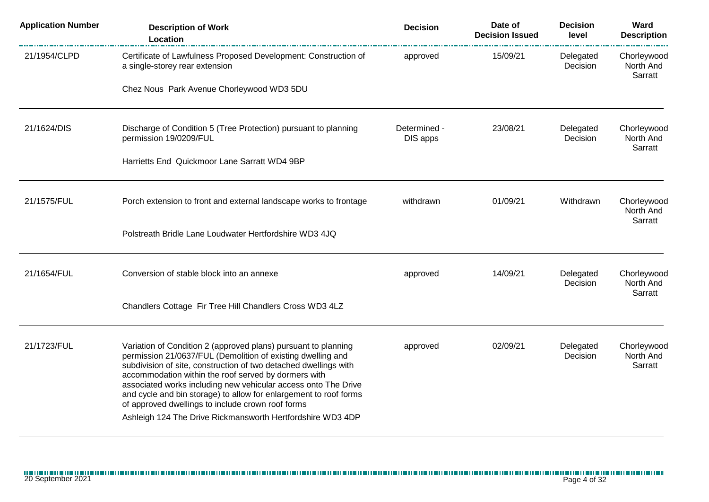| <b>Application Number</b> | <b>Description of Work</b><br>Location                                                                                                                                                                                                                                                                                                                                                                                                                                                                              | <b>Decision</b>          | Date of<br><b>Decision Issued</b> | <b>Decision</b><br>level | Ward<br><b>Description</b>          |
|---------------------------|---------------------------------------------------------------------------------------------------------------------------------------------------------------------------------------------------------------------------------------------------------------------------------------------------------------------------------------------------------------------------------------------------------------------------------------------------------------------------------------------------------------------|--------------------------|-----------------------------------|--------------------------|-------------------------------------|
| 21/1954/CLPD              | Certificate of Lawfulness Proposed Development: Construction of<br>a single-storey rear extension                                                                                                                                                                                                                                                                                                                                                                                                                   | approved                 | 15/09/21                          | Delegated<br>Decision    | Chorleywood<br>North And<br>Sarratt |
|                           | Chez Nous Park Avenue Chorleywood WD3 5DU                                                                                                                                                                                                                                                                                                                                                                                                                                                                           |                          |                                   |                          |                                     |
| 21/1624/DIS               | Discharge of Condition 5 (Tree Protection) pursuant to planning<br>permission 19/0209/FUL                                                                                                                                                                                                                                                                                                                                                                                                                           | Determined -<br>DIS apps | 23/08/21                          | Delegated<br>Decision    | Chorleywood<br>North And<br>Sarratt |
|                           | Harrietts End Quickmoor Lane Sarratt WD4 9BP                                                                                                                                                                                                                                                                                                                                                                                                                                                                        |                          |                                   |                          |                                     |
| 21/1575/FUL               | Porch extension to front and external landscape works to frontage                                                                                                                                                                                                                                                                                                                                                                                                                                                   | withdrawn                | 01/09/21                          | Withdrawn                | Chorleywood<br>North And<br>Sarratt |
|                           | Polstreath Bridle Lane Loudwater Hertfordshire WD3 4JQ                                                                                                                                                                                                                                                                                                                                                                                                                                                              |                          |                                   |                          |                                     |
| 21/1654/FUL               | Conversion of stable block into an annexe                                                                                                                                                                                                                                                                                                                                                                                                                                                                           | approved                 | 14/09/21                          | Delegated<br>Decision    | Chorleywood<br>North And<br>Sarratt |
|                           | Chandlers Cottage Fir Tree Hill Chandlers Cross WD3 4LZ                                                                                                                                                                                                                                                                                                                                                                                                                                                             |                          |                                   |                          |                                     |
| 21/1723/FUL               | Variation of Condition 2 (approved plans) pursuant to planning<br>permission 21/0637/FUL (Demolition of existing dwelling and<br>subdivision of site, construction of two detached dwellings with<br>accommodation within the roof served by dormers with<br>associated works including new vehicular access onto The Drive<br>and cycle and bin storage) to allow for enlargement to roof forms<br>of approved dwellings to include crown roof forms<br>Ashleigh 124 The Drive Rickmansworth Hertfordshire WD3 4DP | approved                 | 02/09/21                          | Delegated<br>Decision    | Chorleywood<br>North And<br>Sarratt |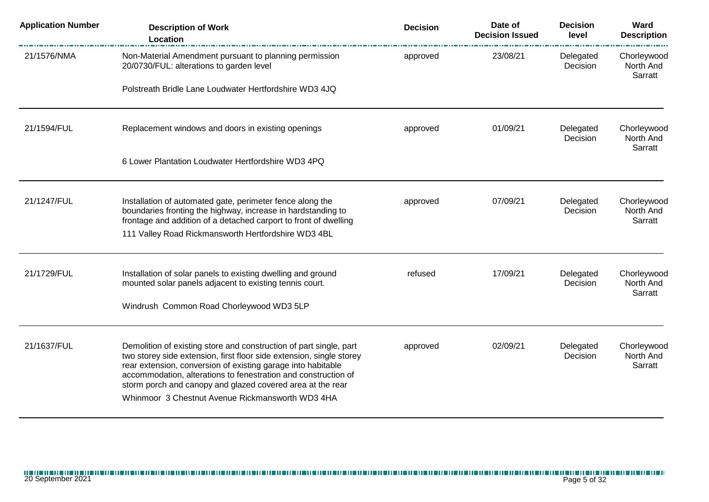| <b>Application Number</b> | <b>Description of Work</b><br>Location                                                                                                                                                                                                                                                                                                                                                         | <b>Decision</b> | Date of<br><b>Decision Issued</b> | <b>Decision</b><br>level | Ward<br><b>Description</b>          |
|---------------------------|------------------------------------------------------------------------------------------------------------------------------------------------------------------------------------------------------------------------------------------------------------------------------------------------------------------------------------------------------------------------------------------------|-----------------|-----------------------------------|--------------------------|-------------------------------------|
| 21/1576/NMA               | Non-Material Amendment pursuant to planning permission<br>20/0730/FUL: alterations to garden level                                                                                                                                                                                                                                                                                             | approved        | 23/08/21                          | Delegated<br>Decision    | Chorleywood<br>North And<br>Sarratt |
|                           | Polstreath Bridle Lane Loudwater Hertfordshire WD3 4JQ                                                                                                                                                                                                                                                                                                                                         |                 |                                   |                          |                                     |
| 21/1594/FUL               | Replacement windows and doors in existing openings                                                                                                                                                                                                                                                                                                                                             | approved        | 01/09/21                          | Delegated<br>Decision    | Chorleywood<br>North And<br>Sarratt |
|                           | 6 Lower Plantation Loudwater Hertfordshire WD3 4PQ                                                                                                                                                                                                                                                                                                                                             |                 |                                   |                          |                                     |
| 21/1247/FUL               | Installation of automated gate, perimeter fence along the<br>boundaries fronting the highway, increase in hardstanding to<br>frontage and addition of a detached carport to front of dwelling                                                                                                                                                                                                  | approved        | 07/09/21                          | Delegated<br>Decision    | Chorleywood<br>North And<br>Sarratt |
|                           | 111 Valley Road Rickmansworth Hertfordshire WD3 4BL                                                                                                                                                                                                                                                                                                                                            |                 |                                   |                          |                                     |
| 21/1729/FUL               | Installation of solar panels to existing dwelling and ground<br>mounted solar panels adjacent to existing tennis court.                                                                                                                                                                                                                                                                        | refused         | 17/09/21                          | Delegated<br>Decision    | Chorleywood<br>North And<br>Sarratt |
|                           | Windrush Common Road Chorleywood WD3 5LP                                                                                                                                                                                                                                                                                                                                                       |                 |                                   |                          |                                     |
| 21/1637/FUL               | Demolition of existing store and construction of part single, part<br>two storey side extension, first floor side extension, single storey<br>rear extension, conversion of existing garage into habitable<br>accommodation, alterations to fenestration and construction of<br>storm porch and canopy and glazed covered area at the rear<br>Whinmoor 3 Chestnut Avenue Rickmansworth WD3 4HA | approved        | 02/09/21                          | Delegated<br>Decision    | Chorleywood<br>North And<br>Sarratt |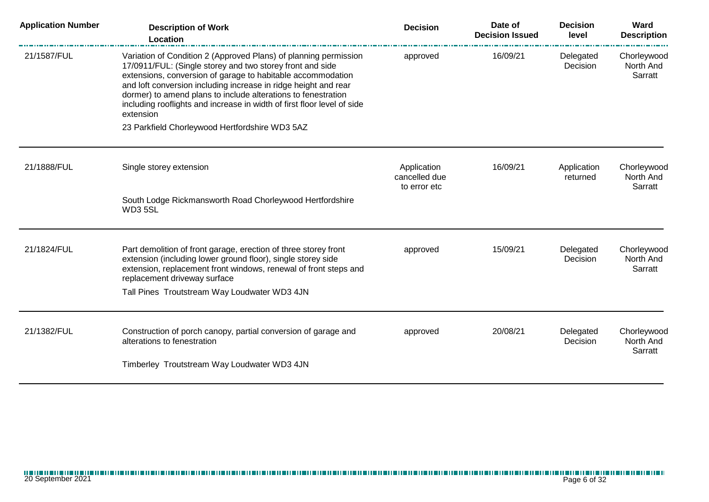| <b>Application Number</b> | <b>Description of Work</b><br><b>Location</b>                                                                                                                                                                                                                                                                                                                                                                            | <b>Decision</b>                              | Date of<br><b>Decision Issued</b> | <b>Decision</b><br>level | Ward<br><b>Description</b>          |
|---------------------------|--------------------------------------------------------------------------------------------------------------------------------------------------------------------------------------------------------------------------------------------------------------------------------------------------------------------------------------------------------------------------------------------------------------------------|----------------------------------------------|-----------------------------------|--------------------------|-------------------------------------|
| 21/1587/FUL               | Variation of Condition 2 (Approved Plans) of planning permission<br>17/0911/FUL: (Single storey and two storey front and side<br>extensions, conversion of garage to habitable accommodation<br>and loft conversion including increase in ridge height and rear<br>dormer) to amend plans to include alterations to fenestration<br>including rooflights and increase in width of first floor level of side<br>extension | approved                                     | 16/09/21                          | Delegated<br>Decision    | Chorleywood<br>North And<br>Sarratt |
|                           | 23 Parkfield Chorleywood Hertfordshire WD3 5AZ                                                                                                                                                                                                                                                                                                                                                                           |                                              |                                   |                          |                                     |
| 21/1888/FUL               | Single storey extension                                                                                                                                                                                                                                                                                                                                                                                                  | Application<br>cancelled due<br>to error etc | 16/09/21                          | Application<br>returned  | Chorleywood<br>North And<br>Sarratt |
|                           | South Lodge Rickmansworth Road Chorleywood Hertfordshire<br>WD35SL                                                                                                                                                                                                                                                                                                                                                       |                                              |                                   |                          |                                     |
| 21/1824/FUL               | Part demolition of front garage, erection of three storey front<br>extension (including lower ground floor), single storey side<br>extension, replacement front windows, renewal of front steps and<br>replacement driveway surface                                                                                                                                                                                      | approved                                     | 15/09/21                          | Delegated<br>Decision    | Chorleywood<br>North And<br>Sarratt |
|                           | Tall Pines Troutstream Way Loudwater WD3 4JN                                                                                                                                                                                                                                                                                                                                                                             |                                              |                                   |                          |                                     |
| 21/1382/FUL               | Construction of porch canopy, partial conversion of garage and<br>alterations to fenestration                                                                                                                                                                                                                                                                                                                            | approved                                     | 20/08/21                          | Delegated<br>Decision    | Chorleywood<br>North And<br>Sarratt |
|                           | Timberley Troutstream Way Loudwater WD3 4JN                                                                                                                                                                                                                                                                                                                                                                              |                                              |                                   |                          |                                     |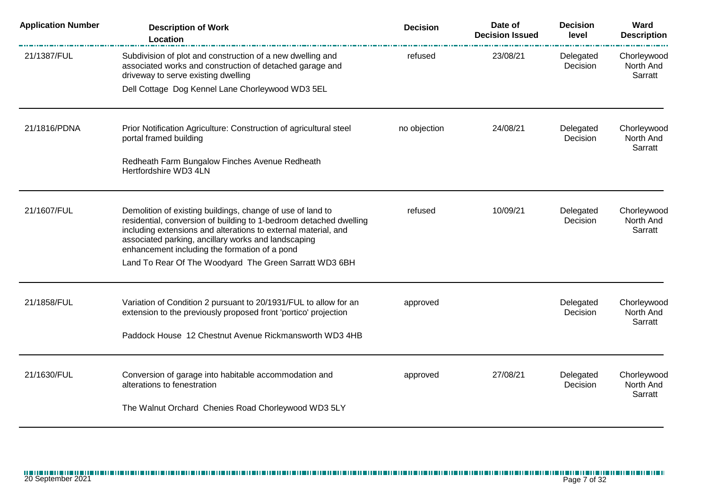| <b>Application Number</b> | <b>Description of Work</b><br>Location                                                                                                                                                                                                                                                                                                                               | <b>Decision</b> | Date of<br><b>Decision Issued</b> | <b>Decision</b><br>level | Ward<br><b>Description</b>          |
|---------------------------|----------------------------------------------------------------------------------------------------------------------------------------------------------------------------------------------------------------------------------------------------------------------------------------------------------------------------------------------------------------------|-----------------|-----------------------------------|--------------------------|-------------------------------------|
| 21/1387/FUL               | Subdivision of plot and construction of a new dwelling and<br>associated works and construction of detached garage and<br>driveway to serve existing dwelling                                                                                                                                                                                                        | refused         | 23/08/21                          | Delegated<br>Decision    | Chorleywood<br>North And<br>Sarratt |
|                           | Dell Cottage Dog Kennel Lane Chorleywood WD3 5EL                                                                                                                                                                                                                                                                                                                     |                 |                                   |                          |                                     |
| 21/1816/PDNA              | Prior Notification Agriculture: Construction of agricultural steel<br>portal framed building                                                                                                                                                                                                                                                                         | no objection    | 24/08/21                          | Delegated<br>Decision    | Chorleywood<br>North And<br>Sarratt |
|                           | Redheath Farm Bungalow Finches Avenue Redheath<br>Hertfordshire WD3 4LN                                                                                                                                                                                                                                                                                              |                 |                                   |                          |                                     |
| 21/1607/FUL               | Demolition of existing buildings, change of use of land to<br>residential, conversion of building to 1-bedroom detached dwelling<br>including extensions and alterations to external material, and<br>associated parking, ancillary works and landscaping<br>enhancement including the formation of a pond<br>Land To Rear Of The Woodyard The Green Sarratt WD3 6BH | refused         | 10/09/21                          | Delegated<br>Decision    | Chorleywood<br>North And<br>Sarratt |
| 21/1858/FUL               | Variation of Condition 2 pursuant to 20/1931/FUL to allow for an<br>extension to the previously proposed front 'portico' projection<br>Paddock House 12 Chestnut Avenue Rickmansworth WD3 4HB                                                                                                                                                                        | approved        |                                   | Delegated<br>Decision    | Chorleywood<br>North And<br>Sarratt |
| 21/1630/FUL               | Conversion of garage into habitable accommodation and<br>alterations to fenestration<br>The Walnut Orchard Chenies Road Chorleywood WD3 5LY                                                                                                                                                                                                                          | approved        | 27/08/21                          | Delegated<br>Decision    | Chorleywood<br>North And<br>Sarratt |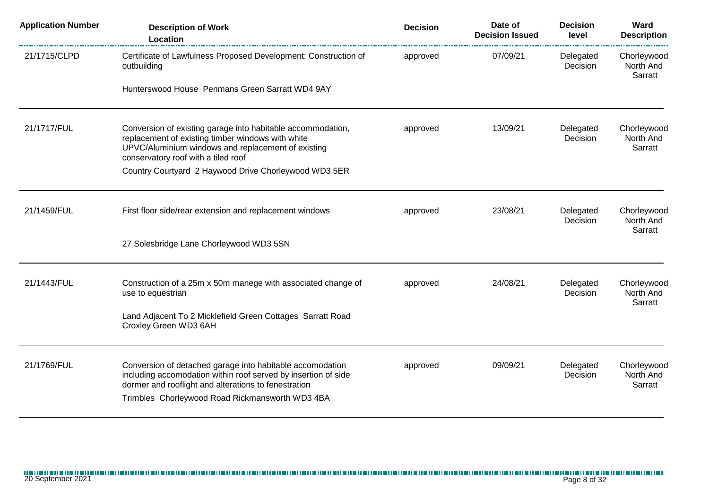| <b>Application Number</b> | <b>Description of Work</b><br><b>Location</b>                                                                                                                                                                                          | <b>Decision</b> | Date of<br><b>Decision Issued</b> | <b>Decision</b><br>level | Ward<br><b>Description</b>          |
|---------------------------|----------------------------------------------------------------------------------------------------------------------------------------------------------------------------------------------------------------------------------------|-----------------|-----------------------------------|--------------------------|-------------------------------------|
| 21/1715/CLPD              | Certificate of Lawfulness Proposed Development: Construction of<br>outbuilding                                                                                                                                                         | approved        | 07/09/21                          | Delegated<br>Decision    | Chorleywood<br>North And<br>Sarratt |
|                           | Hunterswood House Penmans Green Sarratt WD4 9AY                                                                                                                                                                                        |                 |                                   |                          |                                     |
| 21/1717/FUL               | Conversion of existing garage into habitable accommodation,<br>replacement of existing timber windows with white<br>UPVC/Aluminium windows and replacement of existing<br>conservatory roof with a tiled roof                          | approved        | 13/09/21                          | Delegated<br>Decision    | Chorleywood<br>North And<br>Sarratt |
|                           | Country Courtyard 2 Haywood Drive Chorleywood WD3 5ER                                                                                                                                                                                  |                 |                                   |                          |                                     |
| 21/1459/FUL               | First floor side/rear extension and replacement windows                                                                                                                                                                                | approved        | 23/08/21                          | Delegated<br>Decision    | Chorleywood<br>North And<br>Sarratt |
|                           | 27 Solesbridge Lane Chorleywood WD3 5SN                                                                                                                                                                                                |                 |                                   |                          |                                     |
| 21/1443/FUL               | Construction of a 25m x 50m manege with associated change of<br>use to equestrian                                                                                                                                                      | approved        | 24/08/21                          | Delegated<br>Decision    | Chorleywood<br>North And<br>Sarratt |
|                           | Land Adjacent To 2 Micklefield Green Cottages Sarratt Road<br>Croxley Green WD3 6AH                                                                                                                                                    |                 |                                   |                          |                                     |
| 21/1769/FUL               | Conversion of detached garage into habitable accomodation<br>including accomodation within roof served by insertion of side<br>dormer and rooflight and alterations to fenestration<br>Trimbles Chorleywood Road Rickmansworth WD3 4BA | approved        | 09/09/21                          | Delegated<br>Decision    | Chorleywood<br>North And<br>Sarratt |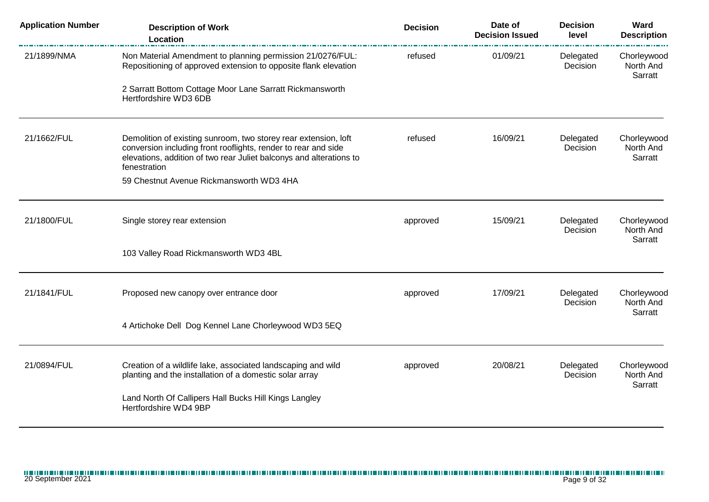| <b>Application Number</b> | <b>Description of Work</b><br>Location                                                                                                                                                                                   | <b>Decision</b> | Date of<br><b>Decision Issued</b> | <b>Decision</b><br>level | Ward<br><b>Description</b>          |
|---------------------------|--------------------------------------------------------------------------------------------------------------------------------------------------------------------------------------------------------------------------|-----------------|-----------------------------------|--------------------------|-------------------------------------|
| 21/1899/NMA               | Non Material Amendment to planning permission 21/0276/FUL:<br>Repositioning of approved extension to opposite flank elevation                                                                                            | refused         | 01/09/21                          | Delegated<br>Decision    | Chorleywood<br>North And<br>Sarratt |
|                           | 2 Sarratt Bottom Cottage Moor Lane Sarratt Rickmansworth<br>Hertfordshire WD3 6DB                                                                                                                                        |                 |                                   |                          |                                     |
| 21/1662/FUL               | Demolition of existing sunroom, two storey rear extension, loft<br>conversion including front rooflights, render to rear and side<br>elevations, addition of two rear Juliet balconys and alterations to<br>fenestration | refused         | 16/09/21                          | Delegated<br>Decision    | Chorleywood<br>North And<br>Sarratt |
|                           | 59 Chestnut Avenue Rickmansworth WD3 4HA                                                                                                                                                                                 |                 |                                   |                          |                                     |
| 21/1800/FUL               | Single storey rear extension                                                                                                                                                                                             | approved        | 15/09/21                          | Delegated<br>Decision    | Chorleywood<br>North And<br>Sarratt |
|                           | 103 Valley Road Rickmansworth WD3 4BL                                                                                                                                                                                    |                 |                                   |                          |                                     |
| 21/1841/FUL               | Proposed new canopy over entrance door                                                                                                                                                                                   | approved        | 17/09/21                          | Delegated<br>Decision    | Chorleywood<br>North And<br>Sarratt |
|                           | 4 Artichoke Dell Dog Kennel Lane Chorleywood WD3 5EQ                                                                                                                                                                     |                 |                                   |                          |                                     |
| 21/0894/FUL               | Creation of a wildlife lake, associated landscaping and wild<br>planting and the installation of a domestic solar array                                                                                                  | approved        | 20/08/21                          | Delegated<br>Decision    | Chorleywood<br>North And<br>Sarratt |
|                           | Land North Of Callipers Hall Bucks Hill Kings Langley<br>Hertfordshire WD4 9BP                                                                                                                                           |                 |                                   |                          |                                     |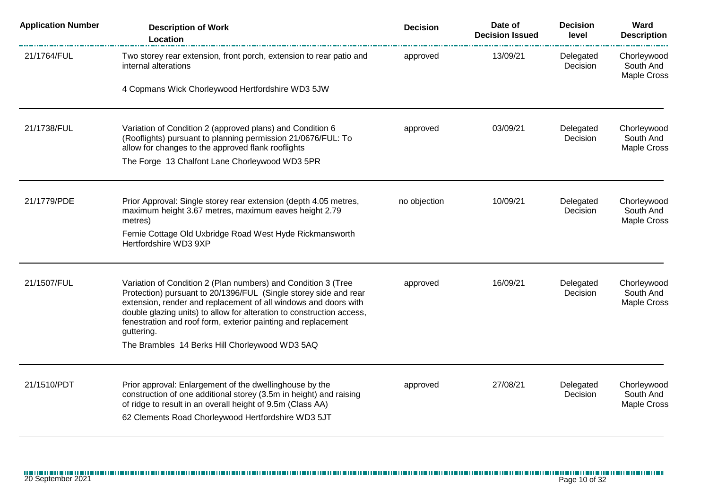| <b>Application Number</b> | <b>Description of Work</b><br><b>Location</b>                                                                                                                                                                                                                                                                                                                                                                  | <b>Decision</b> | Date of<br><b>Decision Issued</b> | <b>Decision</b><br>level     | Ward<br><b>Description</b>                     |
|---------------------------|----------------------------------------------------------------------------------------------------------------------------------------------------------------------------------------------------------------------------------------------------------------------------------------------------------------------------------------------------------------------------------------------------------------|-----------------|-----------------------------------|------------------------------|------------------------------------------------|
| 21/1764/FUL               | Two storey rear extension, front porch, extension to rear patio and<br>internal alterations                                                                                                                                                                                                                                                                                                                    | approved        | 13/09/21                          | Delegated<br>Decision        | Chorleywood<br>South And<br>Maple Cross        |
|                           | 4 Copmans Wick Chorleywood Hertfordshire WD3 5JW                                                                                                                                                                                                                                                                                                                                                               |                 |                                   |                              |                                                |
| 21/1738/FUL               | Variation of Condition 2 (approved plans) and Condition 6<br>(Rooflights) pursuant to planning permission 21/0676/FUL: To<br>allow for changes to the approved flank rooflights                                                                                                                                                                                                                                | approved        | 03/09/21                          | Delegated<br>Decision        | Chorleywood<br>South And<br>Maple Cross        |
|                           | The Forge 13 Chalfont Lane Chorleywood WD3 5PR                                                                                                                                                                                                                                                                                                                                                                 |                 |                                   |                              |                                                |
| 21/1779/PDE               | Prior Approval: Single storey rear extension (depth 4.05 metres,<br>maximum height 3.67 metres, maximum eaves height 2.79<br>metres)                                                                                                                                                                                                                                                                           | no objection    | 10/09/21                          | Delegated<br>Decision        | Chorleywood<br>South And<br>Maple Cross        |
|                           | Fernie Cottage Old Uxbridge Road West Hyde Rickmansworth<br>Hertfordshire WD3 9XP                                                                                                                                                                                                                                                                                                                              |                 |                                   |                              |                                                |
| 21/1507/FUL               | Variation of Condition 2 (Plan numbers) and Condition 3 (Tree<br>Protection) pursuant to 20/1396/FUL (Single storey side and rear<br>extension, render and replacement of all windows and doors with<br>double glazing units) to allow for alteration to construction access,<br>fenestration and roof form, exterior painting and replacement<br>guttering.<br>The Brambles 14 Berks Hill Chorleywood WD3 5AQ | approved        | 16/09/21                          | Delegated<br>Decision        | Chorleywood<br>South And<br>Maple Cross        |
| 21/1510/PDT               | Prior approval: Enlargement of the dwellinghouse by the<br>construction of one additional storey (3.5m in height) and raising<br>of ridge to result in an overall height of 9.5m (Class AA)<br>62 Clements Road Chorleywood Hertfordshire WD3 5JT                                                                                                                                                              | approved        | 27/08/21                          | Delegated<br><b>Decision</b> | Chorleywood<br>South And<br><b>Maple Cross</b> |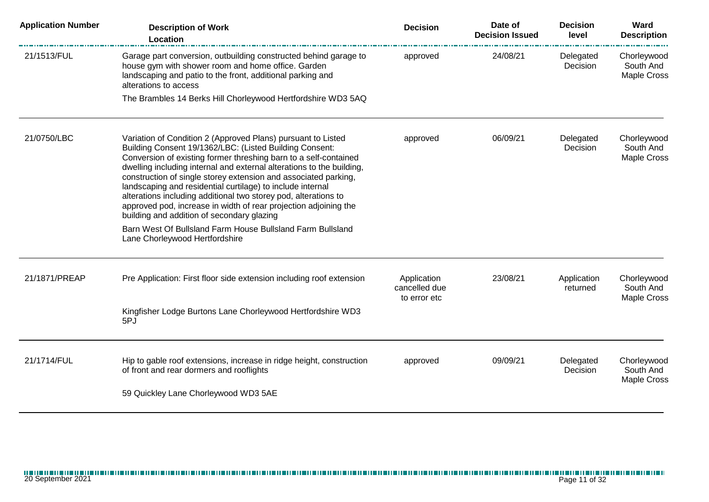| <b>Application Number</b> | <b>Description of Work</b><br>Location                                                                                                                                                                                                                                                                                                                                                                                                                                                                                                                                                                                                                                                     | <b>Decision</b>                              | Date of<br><b>Decision Issued</b> | <b>Decision</b><br>level | Ward<br><b>Description</b>                     |
|---------------------------|--------------------------------------------------------------------------------------------------------------------------------------------------------------------------------------------------------------------------------------------------------------------------------------------------------------------------------------------------------------------------------------------------------------------------------------------------------------------------------------------------------------------------------------------------------------------------------------------------------------------------------------------------------------------------------------------|----------------------------------------------|-----------------------------------|--------------------------|------------------------------------------------|
| 21/1513/FUL               | Garage part conversion, outbuilding constructed behind garage to<br>house gym with shower room and home office. Garden<br>landscaping and patio to the front, additional parking and<br>alterations to access                                                                                                                                                                                                                                                                                                                                                                                                                                                                              | approved                                     | 24/08/21                          | Delegated<br>Decision    | Chorleywood<br>South And<br><b>Maple Cross</b> |
|                           | The Brambles 14 Berks Hill Chorleywood Hertfordshire WD3 5AQ                                                                                                                                                                                                                                                                                                                                                                                                                                                                                                                                                                                                                               |                                              |                                   |                          |                                                |
| 21/0750/LBC               | Variation of Condition 2 (Approved Plans) pursuant to Listed<br>Building Consent 19/1362/LBC: (Listed Building Consent:<br>Conversion of existing former threshing barn to a self-contained<br>dwelling including internal and external alterations to the building,<br>construction of single storey extension and associated parking,<br>landscaping and residential curtilage) to include internal<br>alterations including additional two storey pod, alterations to<br>approved pod, increase in width of rear projection adjoining the<br>building and addition of secondary glazing<br>Barn West Of Bullsland Farm House Bullsland Farm Bullsland<br>Lane Chorleywood Hertfordshire | approved                                     | 06/09/21                          | Delegated<br>Decision    | Chorleywood<br>South And<br>Maple Cross        |
| 21/1871/PREAP             | Pre Application: First floor side extension including roof extension                                                                                                                                                                                                                                                                                                                                                                                                                                                                                                                                                                                                                       | Application<br>cancelled due<br>to error etc | 23/08/21                          | Application<br>returned  | Chorleywood<br>South And<br>Maple Cross        |
|                           | Kingfisher Lodge Burtons Lane Chorleywood Hertfordshire WD3<br>5PJ                                                                                                                                                                                                                                                                                                                                                                                                                                                                                                                                                                                                                         |                                              |                                   |                          |                                                |
| 21/1714/FUL               | Hip to gable roof extensions, increase in ridge height, construction<br>of front and rear dormers and rooflights<br>59 Quickley Lane Chorleywood WD3 5AE                                                                                                                                                                                                                                                                                                                                                                                                                                                                                                                                   | approved                                     | 09/09/21                          | Delegated<br>Decision    | Chorleywood<br>South And<br>Maple Cross        |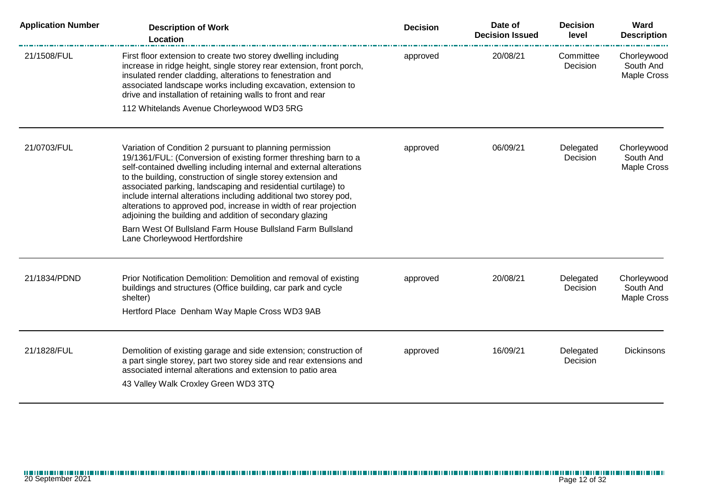| <b>Application Number</b> | <b>Description of Work</b><br>Location                                                                                                                                                                                                                                                                                                                                                                                                                                                                                                    | <b>Decision</b> | Date of<br><b>Decision Issued</b> | <b>Decision</b><br>level | Ward<br><b>Description</b>                     |
|---------------------------|-------------------------------------------------------------------------------------------------------------------------------------------------------------------------------------------------------------------------------------------------------------------------------------------------------------------------------------------------------------------------------------------------------------------------------------------------------------------------------------------------------------------------------------------|-----------------|-----------------------------------|--------------------------|------------------------------------------------|
| 21/1508/FUL               | First floor extension to create two storey dwelling including<br>increase in ridge height, single storey rear extension, front porch,<br>insulated render cladding, alterations to fenestration and<br>associated landscape works including excavation, extension to<br>drive and installation of retaining walls to front and rear                                                                                                                                                                                                       | approved        | 20/08/21                          | Committee<br>Decision    | Chorleywood<br>South And<br><b>Maple Cross</b> |
|                           | 112 Whitelands Avenue Chorleywood WD3 5RG                                                                                                                                                                                                                                                                                                                                                                                                                                                                                                 |                 |                                   |                          |                                                |
| 21/0703/FUL               | Variation of Condition 2 pursuant to planning permission<br>19/1361/FUL: (Conversion of existing former threshing barn to a<br>self-contained dwelling including internal and external alterations<br>to the building, construction of single storey extension and<br>associated parking, landscaping and residential curtilage) to<br>include internal alterations including additional two storey pod,<br>alterations to approved pod, increase in width of rear projection<br>adjoining the building and addition of secondary glazing | approved        | 06/09/21                          | Delegated<br>Decision    | Chorleywood<br>South And<br><b>Maple Cross</b> |
|                           | Barn West Of Bullsland Farm House Bullsland Farm Bullsland<br>Lane Chorleywood Hertfordshire                                                                                                                                                                                                                                                                                                                                                                                                                                              |                 |                                   |                          |                                                |
| 21/1834/PDND              | Prior Notification Demolition: Demolition and removal of existing<br>buildings and structures (Office building, car park and cycle<br>shelter)<br>Hertford Place Denham Way Maple Cross WD3 9AB                                                                                                                                                                                                                                                                                                                                           | approved        | 20/08/21                          | Delegated<br>Decision    | Chorleywood<br>South And<br><b>Maple Cross</b> |
| 21/1828/FUL               | Demolition of existing garage and side extension; construction of<br>a part single storey, part two storey side and rear extensions and<br>associated internal alterations and extension to patio area<br>43 Valley Walk Croxley Green WD3 3TQ                                                                                                                                                                                                                                                                                            | approved        | 16/09/21                          | Delegated<br>Decision    | <b>Dickinsons</b>                              |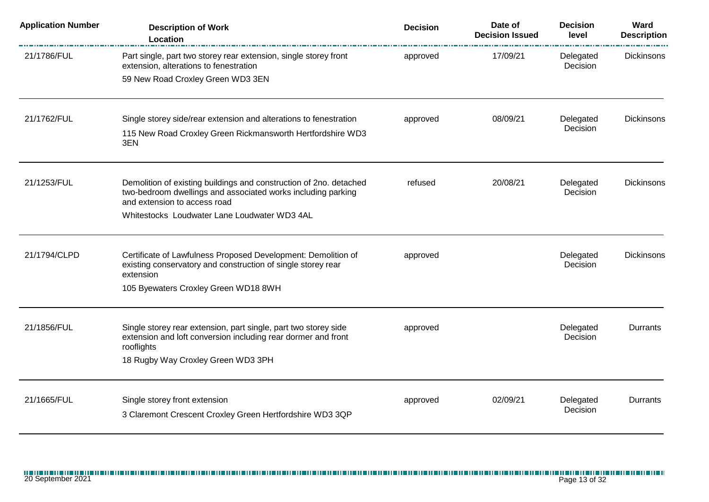| <b>Application Number</b> | <b>Description of Work</b><br>Location                                                                                                         | <b>Decision</b> | Date of<br><b>Decision Issued</b> | <b>Decision</b><br>level | Ward<br><b>Description</b> |
|---------------------------|------------------------------------------------------------------------------------------------------------------------------------------------|-----------------|-----------------------------------|--------------------------|----------------------------|
| 21/1786/FUL               | Part single, part two storey rear extension, single storey front<br>extension, alterations to fenestration                                     | approved        | 17/09/21                          | Delegated<br>Decision    | <b>Dickinsons</b>          |
|                           | 59 New Road Croxley Green WD3 3EN                                                                                                              |                 |                                   |                          |                            |
| 21/1762/FUL               | Single storey side/rear extension and alterations to fenestration                                                                              | approved        | 08/09/21                          | Delegated                | Dickinsons                 |
|                           | 115 New Road Croxley Green Rickmansworth Hertfordshire WD3<br>3EN                                                                              |                 |                                   | Decision                 |                            |
| 21/1253/FUL               | Demolition of existing buildings and construction of 2no. detached<br>two-bedroom dwellings and associated works including parking             | refused         | 20/08/21                          | Delegated<br>Decision    | Dickinsons                 |
|                           | and extension to access road                                                                                                                   |                 |                                   |                          |                            |
|                           | Whitestocks Loudwater Lane Loudwater WD3 4AL                                                                                                   |                 |                                   |                          |                            |
| 21/1794/CLPD              | Certificate of Lawfulness Proposed Development: Demolition of<br>existing conservatory and construction of single storey rear                  | approved        |                                   | Delegated<br>Decision    | <b>Dickinsons</b>          |
|                           | extension                                                                                                                                      |                 |                                   |                          |                            |
|                           | 105 Byewaters Croxley Green WD18 8WH                                                                                                           |                 |                                   |                          |                            |
| 21/1856/FUL               | Single storey rear extension, part single, part two storey side<br>extension and loft conversion including rear dormer and front<br>rooflights | approved        |                                   | Delegated<br>Decision    | Durrants                   |
|                           | 18 Rugby Way Croxley Green WD3 3PH                                                                                                             |                 |                                   |                          |                            |
| 21/1665/FUL               | Single storey front extension                                                                                                                  | approved        | 02/09/21                          | Delegated                | Durrants                   |
|                           | 3 Claremont Crescent Croxley Green Hertfordshire WD3 3QP                                                                                       |                 |                                   | Decision                 |                            |
|                           |                                                                                                                                                |                 |                                   |                          |                            |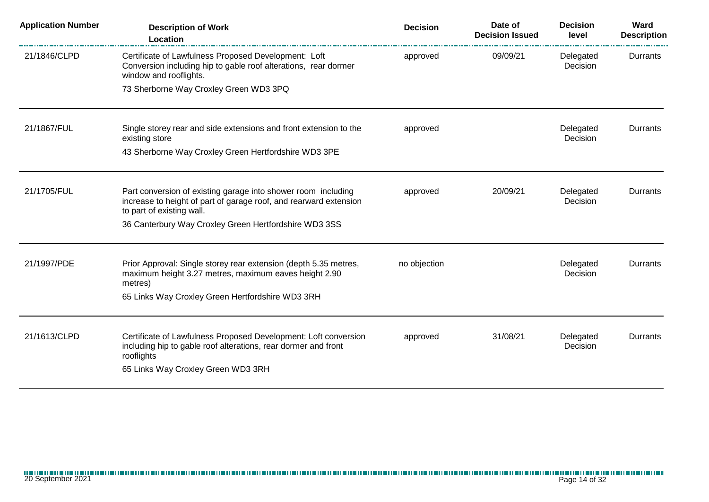| <b>Description of Work</b><br>Location                                                                                                                                                | <b>Decision</b> | Date of<br><b>Decision Issued</b> | <b>Decision</b><br>level | Ward<br><b>Description</b> |
|---------------------------------------------------------------------------------------------------------------------------------------------------------------------------------------|-----------------|-----------------------------------|--------------------------|----------------------------|
| Certificate of Lawfulness Proposed Development: Loft<br>Conversion including hip to gable roof alterations, rear dormer<br>window and rooflights.                                     | approved        | 09/09/21                          | Delegated<br>Decision    | Durrants                   |
| 73 Sherborne Way Croxley Green WD3 3PQ                                                                                                                                                |                 |                                   |                          |                            |
| Single storey rear and side extensions and front extension to the<br>existing store                                                                                                   | approved        |                                   | Delegated<br>Decision    | Durrants                   |
| 43 Sherborne Way Croxley Green Hertfordshire WD3 3PE                                                                                                                                  |                 |                                   |                          |                            |
| Part conversion of existing garage into shower room including<br>increase to height of part of garage roof, and rearward extension<br>to part of existing wall.                       | approved        | 20/09/21                          | Delegated<br>Decision    | Durrants                   |
| 36 Canterbury Way Croxley Green Hertfordshire WD3 3SS                                                                                                                                 |                 |                                   |                          |                            |
| Prior Approval: Single storey rear extension (depth 5.35 metres,<br>maximum height 3.27 metres, maximum eaves height 2.90<br>metres)                                                  | no objection    |                                   | Delegated<br>Decision    | Durrants                   |
| 65 Links Way Croxley Green Hertfordshire WD3 3RH                                                                                                                                      |                 |                                   |                          |                            |
| Certificate of Lawfulness Proposed Development: Loft conversion<br>including hip to gable roof alterations, rear dormer and front<br>rooflights<br>65 Links Way Croxley Green WD3 3RH | approved        | 31/08/21                          | Delegated<br>Decision    | Durrants                   |
|                                                                                                                                                                                       |                 |                                   |                          |                            |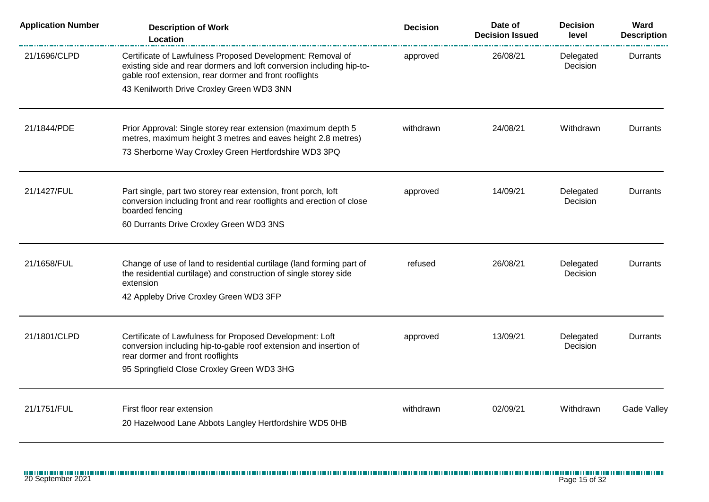| <b>Application Number</b> | <b>Description of Work</b><br>Location                                                                                                                                                       | <b>Decision</b> | Date of<br><b>Decision Issued</b> | <b>Decision</b><br>level | Ward<br><b>Description</b> |
|---------------------------|----------------------------------------------------------------------------------------------------------------------------------------------------------------------------------------------|-----------------|-----------------------------------|--------------------------|----------------------------|
| 21/1696/CLPD              | Certificate of Lawfulness Proposed Development: Removal of<br>existing side and rear dormers and loft conversion including hip-to-<br>gable roof extension, rear dormer and front rooflights | approved        | 26/08/21                          | Delegated<br>Decision    | Durrants                   |
|                           | 43 Kenilworth Drive Croxley Green WD3 3NN                                                                                                                                                    |                 |                                   |                          |                            |
| 21/1844/PDE               | Prior Approval: Single storey rear extension (maximum depth 5<br>metres, maximum height 3 metres and eaves height 2.8 metres)                                                                | withdrawn       | 24/08/21                          | Withdrawn                | Durrants                   |
|                           | 73 Sherborne Way Croxley Green Hertfordshire WD3 3PQ                                                                                                                                         |                 |                                   |                          |                            |
| 21/1427/FUL               | Part single, part two storey rear extension, front porch, loft<br>conversion including front and rear rooflights and erection of close<br>boarded fencing                                    | approved        | 14/09/21                          | Delegated<br>Decision    | Durrants                   |
|                           | 60 Durrants Drive Croxley Green WD3 3NS                                                                                                                                                      |                 |                                   |                          |                            |
| 21/1658/FUL               | Change of use of land to residential curtilage (land forming part of<br>the residential curtilage) and construction of single storey side<br>extension                                       | refused         | 26/08/21                          | Delegated<br>Decision    | Durrants                   |
|                           | 42 Appleby Drive Croxley Green WD3 3FP                                                                                                                                                       |                 |                                   |                          |                            |
| 21/1801/CLPD              | Certificate of Lawfulness for Proposed Development: Loft<br>conversion including hip-to-gable roof extension and insertion of<br>rear dormer and front rooflights                            | approved        | 13/09/21                          | Delegated<br>Decision    | Durrants                   |
|                           | 95 Springfield Close Croxley Green WD3 3HG                                                                                                                                                   |                 |                                   |                          |                            |
| 21/1751/FUL               | First floor rear extension                                                                                                                                                                   | withdrawn       | 02/09/21                          | Withdrawn                | <b>Gade Valley</b>         |
|                           | 20 Hazelwood Lane Abbots Langley Hertfordshire WD5 0HB                                                                                                                                       |                 |                                   |                          |                            |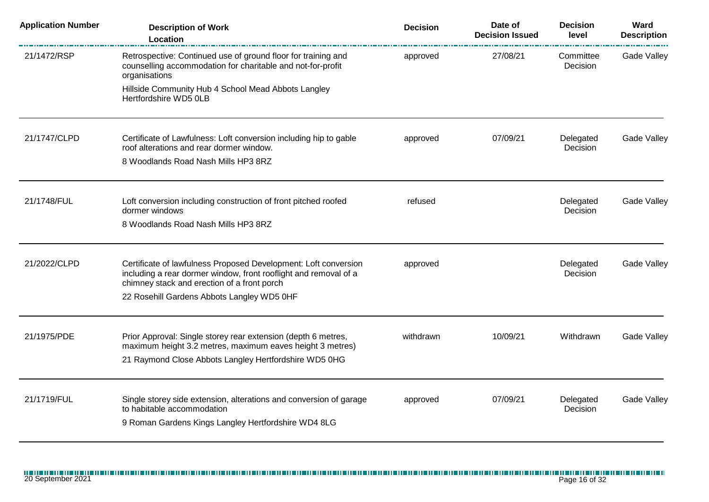| <b>Application Number</b> | <b>Description of Work</b><br>Location                                                                                                                                             | <b>Decision</b> | Date of<br><b>Decision Issued</b> | <b>Decision</b><br>level | Ward<br><b>Description</b> |
|---------------------------|------------------------------------------------------------------------------------------------------------------------------------------------------------------------------------|-----------------|-----------------------------------|--------------------------|----------------------------|
| 21/1472/RSP               | Retrospective: Continued use of ground floor for training and<br>counselling accommodation for charitable and not-for-profit<br>organisations                                      | approved        | 27/08/21                          | Committee<br>Decision    | Gade Valley                |
|                           | Hillside Community Hub 4 School Mead Abbots Langley<br>Hertfordshire WD5 0LB                                                                                                       |                 |                                   |                          |                            |
| 21/1747/CLPD              | Certificate of Lawfulness: Loft conversion including hip to gable<br>roof alterations and rear dormer window.                                                                      | approved        | 07/09/21                          | Delegated<br>Decision    | Gade Valley                |
|                           | 8 Woodlands Road Nash Mills HP3 8RZ                                                                                                                                                |                 |                                   |                          |                            |
| 21/1748/FUL               | Loft conversion including construction of front pitched roofed<br>dormer windows                                                                                                   | refused         |                                   | Delegated<br>Decision    | Gade Valley                |
|                           | 8 Woodlands Road Nash Mills HP3 8RZ                                                                                                                                                |                 |                                   |                          |                            |
| 21/2022/CLPD              | Certificate of lawfulness Proposed Development: Loft conversion<br>including a rear dormer window, front rooflight and removal of a<br>chimney stack and erection of a front porch | approved        |                                   | Delegated<br>Decision    | Gade Valley                |
|                           | 22 Rosehill Gardens Abbots Langley WD5 0HF                                                                                                                                         |                 |                                   |                          |                            |
| 21/1975/PDE               | Prior Approval: Single storey rear extension (depth 6 metres,<br>maximum height 3.2 metres, maximum eaves height 3 metres)                                                         | withdrawn       | 10/09/21                          | Withdrawn                | Gade Valley                |
|                           | 21 Raymond Close Abbots Langley Hertfordshire WD5 0HG                                                                                                                              |                 |                                   |                          |                            |
| 21/1719/FUL               | Single storey side extension, alterations and conversion of garage<br>to habitable accommodation                                                                                   | approved        | 07/09/21                          | Delegated                | Gade Valley                |
|                           | 9 Roman Gardens Kings Langley Hertfordshire WD4 8LG                                                                                                                                |                 |                                   | Decision                 |                            |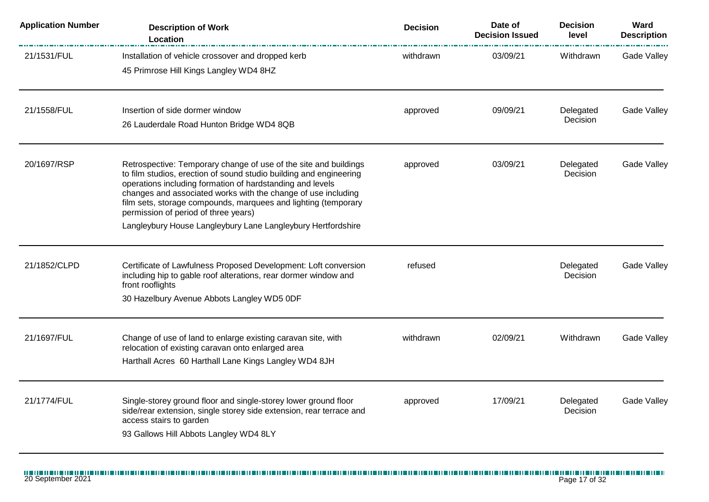| <b>Application Number</b> | <b>Description of Work</b><br>Location                                                                                                                                                                                                                                                                                                                                                                                                         | <b>Decision</b> | Date of<br><b>Decision Issued</b> | <b>Decision</b><br>level | Ward<br><b>Description</b> |
|---------------------------|------------------------------------------------------------------------------------------------------------------------------------------------------------------------------------------------------------------------------------------------------------------------------------------------------------------------------------------------------------------------------------------------------------------------------------------------|-----------------|-----------------------------------|--------------------------|----------------------------|
| 21/1531/FUL               | Installation of vehicle crossover and dropped kerb<br>45 Primrose Hill Kings Langley WD4 8HZ                                                                                                                                                                                                                                                                                                                                                   | withdrawn       | 03/09/21                          | Withdrawn                | Gade Valley                |
| 21/1558/FUL               | Insertion of side dormer window<br>26 Lauderdale Road Hunton Bridge WD4 8QB                                                                                                                                                                                                                                                                                                                                                                    | approved        | 09/09/21                          | Delegated<br>Decision    | <b>Gade Valley</b>         |
| 20/1697/RSP               | Retrospective: Temporary change of use of the site and buildings<br>to film studios, erection of sound studio building and engineering<br>operations including formation of hardstanding and levels<br>changes and associated works with the change of use including<br>film sets, storage compounds, marquees and lighting (temporary<br>permission of period of three years)<br>Langleybury House Langleybury Lane Langleybury Hertfordshire | approved        | 03/09/21                          | Delegated<br>Decision    | Gade Valley                |
| 21/1852/CLPD              | Certificate of Lawfulness Proposed Development: Loft conversion<br>including hip to gable roof alterations, rear dormer window and<br>front rooflights<br>30 Hazelbury Avenue Abbots Langley WD5 0DF                                                                                                                                                                                                                                           | refused         |                                   | Delegated<br>Decision    | Gade Valley                |
| 21/1697/FUL               | Change of use of land to enlarge existing caravan site, with<br>relocation of existing caravan onto enlarged area<br>Harthall Acres 60 Harthall Lane Kings Langley WD4 8JH                                                                                                                                                                                                                                                                     | withdrawn       | 02/09/21                          | Withdrawn                | Gade Valley                |
| 21/1774/FUL               | Single-storey ground floor and single-storey lower ground floor<br>side/rear extension, single storey side extension, rear terrace and<br>access stairs to garden<br>93 Gallows Hill Abbots Langley WD4 8LY                                                                                                                                                                                                                                    | approved        | 17/09/21                          | Delegated<br>Decision    | Gade Valley                |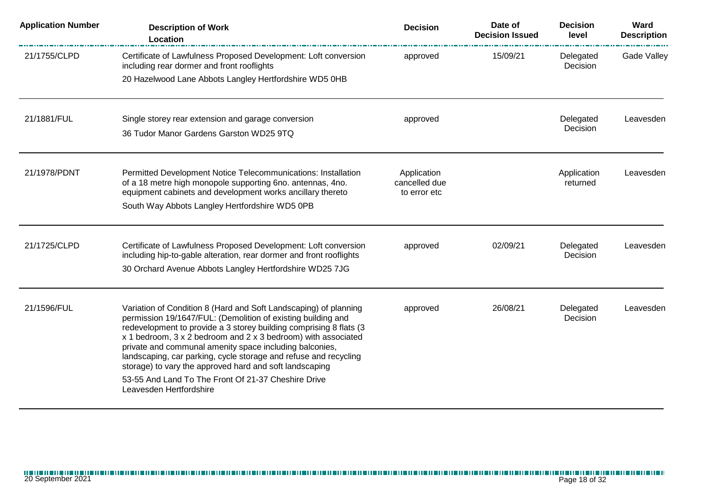| <b>Application Number</b> | <b>Description of Work</b><br>Location                                                                                                                                                                                                                                                                                                                                                                                                                                                                                                              | <b>Decision</b>                              | Date of<br><b>Decision Issued</b> | <b>Decision</b><br>level     | Ward<br><b>Description</b> |
|---------------------------|-----------------------------------------------------------------------------------------------------------------------------------------------------------------------------------------------------------------------------------------------------------------------------------------------------------------------------------------------------------------------------------------------------------------------------------------------------------------------------------------------------------------------------------------------------|----------------------------------------------|-----------------------------------|------------------------------|----------------------------|
| 21/1755/CLPD              | Certificate of Lawfulness Proposed Development: Loft conversion<br>including rear dormer and front rooflights                                                                                                                                                                                                                                                                                                                                                                                                                                       | approved                                     | 15/09/21                          | Delegated<br>Decision        | <b>Gade Valley</b>         |
|                           | 20 Hazelwood Lane Abbots Langley Hertfordshire WD5 0HB                                                                                                                                                                                                                                                                                                                                                                                                                                                                                              |                                              |                                   |                              |                            |
| 21/1881/FUL               | Single storey rear extension and garage conversion<br>36 Tudor Manor Gardens Garston WD25 9TQ                                                                                                                                                                                                                                                                                                                                                                                                                                                       | approved                                     |                                   | Delegated<br>Decision        | Leavesden                  |
| 21/1978/PDNT              | Permitted Development Notice Telecommunications: Installation<br>of a 18 metre high monopole supporting 6no. antennas, 4no.<br>equipment cabinets and development works ancillary thereto<br>South Way Abbots Langley Hertfordshire WD5 0PB                                                                                                                                                                                                                                                                                                         | Application<br>cancelled due<br>to error etc |                                   | Application<br>returned      | Leavesden                  |
| 21/1725/CLPD              | Certificate of Lawfulness Proposed Development: Loft conversion<br>including hip-to-gable alteration, rear dormer and front rooflights<br>30 Orchard Avenue Abbots Langley Hertfordshire WD25 7JG                                                                                                                                                                                                                                                                                                                                                   | approved                                     | 02/09/21                          | Delegated<br><b>Decision</b> | Leavesden                  |
| 21/1596/FUL               | Variation of Condition 8 (Hard and Soft Landscaping) of planning<br>permission 19/1647/FUL: (Demolition of existing building and<br>redevelopment to provide a 3 storey building comprising 8 flats (3<br>x 1 bedroom, 3 x 2 bedroom and 2 x 3 bedroom) with associated<br>private and communal amenity space including balconies,<br>landscaping, car parking, cycle storage and refuse and recycling<br>storage) to vary the approved hard and soft landscaping<br>53-55 And Land To The Front Of 21-37 Cheshire Drive<br>Leavesden Hertfordshire | approved                                     | 26/08/21                          | Delegated<br>Decision        | Leavesden                  |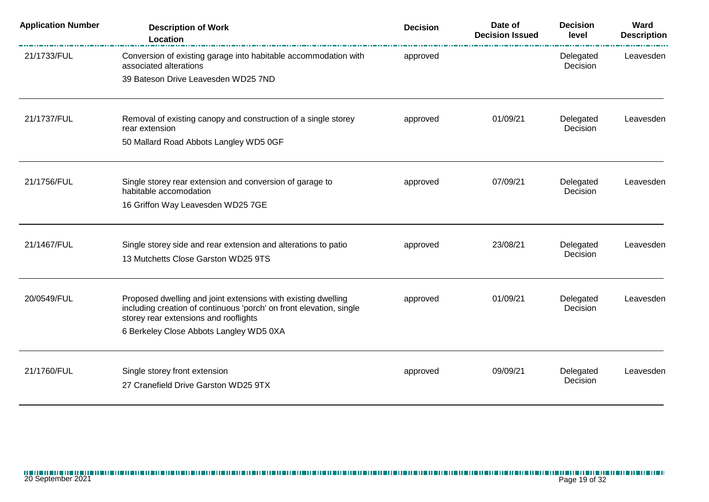| <b>Application Number</b> | <b>Description of Work</b><br>Location                                                                       | <b>Decision</b> | Date of<br><b>Decision Issued</b> | <b>Decision</b><br>level | Ward<br><b>Description</b> |
|---------------------------|--------------------------------------------------------------------------------------------------------------|-----------------|-----------------------------------|--------------------------|----------------------------|
| 21/1733/FUL               | Conversion of existing garage into habitable accommodation with<br>associated alterations                    | approved        |                                   | Delegated<br>Decision    | Leavesden                  |
|                           | 39 Bateson Drive Leavesden WD25 7ND                                                                          |                 |                                   |                          |                            |
| 21/1737/FUL               | Removal of existing canopy and construction of a single storey<br>rear extension                             | approved        | 01/09/21                          | Delegated<br>Decision    | Leavesden                  |
|                           | 50 Mallard Road Abbots Langley WD5 0GF                                                                       |                 |                                   |                          |                            |
| 21/1756/FUL               | Single storey rear extension and conversion of garage to<br>habitable accomodation                           | approved        | 07/09/21                          | Delegated<br>Decision    | Leavesden                  |
|                           | 16 Griffon Way Leavesden WD25 7GE                                                                            |                 |                                   |                          |                            |
| 21/1467/FUL               | Single storey side and rear extension and alterations to patio                                               | approved        | 23/08/21                          | Delegated                | Leavesden                  |
|                           | 13 Mutchetts Close Garston WD25 9TS                                                                          |                 |                                   | Decision                 |                            |
| 20/0549/FUL               | Proposed dwelling and joint extensions with existing dwelling                                                | approved        | 01/09/21                          | Delegated                | Leavesden                  |
|                           | including creation of continuous 'porch' on front elevation, single<br>storey rear extensions and rooflights |                 |                                   | Decision                 |                            |
|                           | 6 Berkeley Close Abbots Langley WD5 0XA                                                                      |                 |                                   |                          |                            |
| 21/1760/FUL               | Single storey front extension                                                                                | approved        | 09/09/21                          | Delegated                | Leavesden                  |
|                           | 27 Cranefield Drive Garston WD25 9TX                                                                         |                 |                                   | Decision                 |                            |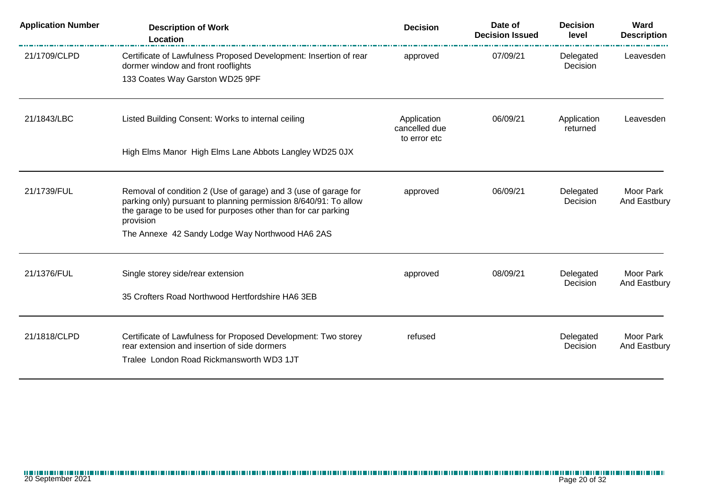| <b>Application Number</b> | <b>Description of Work</b><br>Location                                                                                                                                                                            | <b>Decision</b>                              | Date of<br><b>Decision Issued</b> | <b>Decision</b><br>level | Ward<br><b>Description</b> |
|---------------------------|-------------------------------------------------------------------------------------------------------------------------------------------------------------------------------------------------------------------|----------------------------------------------|-----------------------------------|--------------------------|----------------------------|
| 21/1709/CLPD              | Certificate of Lawfulness Proposed Development: Insertion of rear<br>dormer window and front rooflights                                                                                                           | approved                                     | 07/09/21                          | Delegated<br>Decision    | Leavesden                  |
|                           | 133 Coates Way Garston WD25 9PF                                                                                                                                                                                   |                                              |                                   |                          |                            |
| 21/1843/LBC               | Listed Building Consent: Works to internal ceiling                                                                                                                                                                | Application<br>cancelled due<br>to error etc | 06/09/21                          | Application<br>returned  | Leavesden                  |
|                           | High Elms Manor High Elms Lane Abbots Langley WD25 0JX                                                                                                                                                            |                                              |                                   |                          |                            |
| 21/1739/FUL               | Removal of condition 2 (Use of garage) and 3 (use of garage for<br>parking only) pursuant to planning permission 8/640/91: To allow<br>the garage to be used for purposes other than for car parking<br>provision | approved                                     | 06/09/21                          | Delegated<br>Decision    | Moor Park<br>And Eastbury  |
|                           | The Annexe 42 Sandy Lodge Way Northwood HA6 2AS                                                                                                                                                                   |                                              |                                   |                          |                            |
| 21/1376/FUL               | Single storey side/rear extension                                                                                                                                                                                 | approved                                     | 08/09/21                          | Delegated<br>Decision    | Moor Park<br>And Eastbury  |
|                           | 35 Crofters Road Northwood Hertfordshire HA6 3EB                                                                                                                                                                  |                                              |                                   |                          |                            |
| 21/1818/CLPD              | Certificate of Lawfulness for Proposed Development: Two storey<br>rear extension and insertion of side dormers<br>Tralee London Road Rickmansworth WD3 1JT                                                        | refused                                      |                                   | Delegated<br>Decision    | Moor Park<br>And Eastbury  |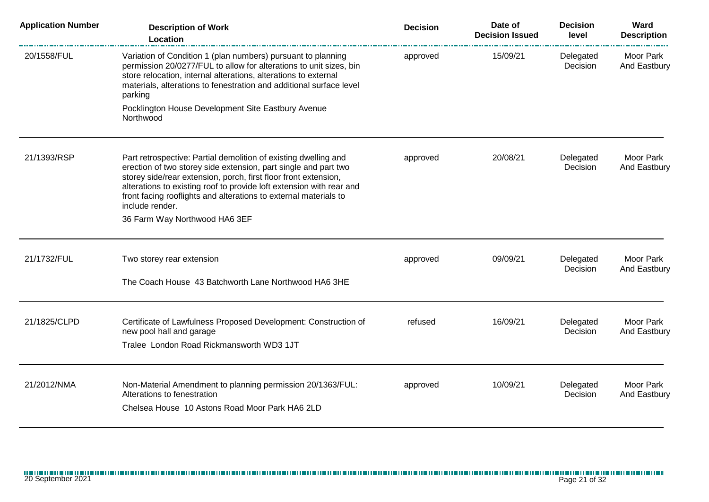| <b>Application Number</b> | <b>Description of Work</b><br><b>Location</b>                                                                                                                                                                                                                                                                                                                                                         | <b>Decision</b> | Date of<br><b>Decision Issued</b> | <b>Decision</b><br>level | Ward<br><b>Description</b> |
|---------------------------|-------------------------------------------------------------------------------------------------------------------------------------------------------------------------------------------------------------------------------------------------------------------------------------------------------------------------------------------------------------------------------------------------------|-----------------|-----------------------------------|--------------------------|----------------------------|
| 20/1558/FUL               | Variation of Condition 1 (plan numbers) pursuant to planning<br>permission 20/0277/FUL to allow for alterations to unit sizes, bin<br>store relocation, internal alterations, alterations to external<br>materials, alterations to fenestration and additional surface level<br>parking                                                                                                               | approved        | 15/09/21                          | Delegated<br>Decision    | Moor Park<br>And Eastbury  |
|                           | Pocklington House Development Site Eastbury Avenue<br>Northwood                                                                                                                                                                                                                                                                                                                                       |                 |                                   |                          |                            |
| 21/1393/RSP               | Part retrospective: Partial demolition of existing dwelling and<br>erection of two storey side extension, part single and part two<br>storey side/rear extension, porch, first floor front extension,<br>alterations to existing roof to provide loft extension with rear and<br>front facing rooflights and alterations to external materials to<br>include render.<br>36 Farm Way Northwood HA6 3EF | approved        | 20/08/21                          | Delegated<br>Decision    | Moor Park<br>And Eastbury  |
| 21/1732/FUL               | Two storey rear extension<br>The Coach House 43 Batchworth Lane Northwood HA6 3HE                                                                                                                                                                                                                                                                                                                     | approved        | 09/09/21                          | Delegated<br>Decision    | Moor Park<br>And Eastbury  |
| 21/1825/CLPD              | Certificate of Lawfulness Proposed Development: Construction of<br>new pool hall and garage<br>Tralee London Road Rickmansworth WD3 1JT                                                                                                                                                                                                                                                               | refused         | 16/09/21                          | Delegated<br>Decision    | Moor Park<br>And Eastbury  |
| 21/2012/NMA               | Non-Material Amendment to planning permission 20/1363/FUL:<br>Alterations to fenestration<br>Chelsea House 10 Astons Road Moor Park HA6 2LD                                                                                                                                                                                                                                                           | approved        | 10/09/21                          | Delegated<br>Decision    | Moor Park<br>And Eastbury  |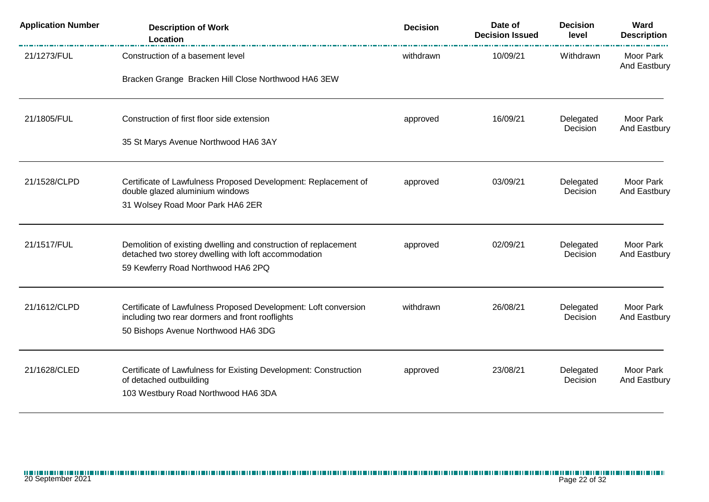| <b>Application Number</b> | <b>Description of Work</b><br>Location                                                                                  | <b>Decision</b> | Date of<br><b>Decision Issued</b> | <b>Decision</b><br>level | Ward<br><b>Description</b>       |
|---------------------------|-------------------------------------------------------------------------------------------------------------------------|-----------------|-----------------------------------|--------------------------|----------------------------------|
| 21/1273/FUL               | Construction of a basement level<br>Bracken Grange Bracken Hill Close Northwood HA6 3EW                                 | withdrawn       | 10/09/21                          | Withdrawn                | <b>Moor Park</b><br>And Eastbury |
|                           |                                                                                                                         |                 |                                   |                          |                                  |
| 21/1805/FUL               | Construction of first floor side extension                                                                              | approved        | 16/09/21                          | Delegated<br>Decision    | Moor Park<br>And Eastbury        |
|                           | 35 St Marys Avenue Northwood HA6 3AY                                                                                    |                 |                                   |                          |                                  |
| 21/1528/CLPD              | Certificate of Lawfulness Proposed Development: Replacement of<br>double glazed aluminium windows                       | approved        | 03/09/21                          | Delegated<br>Decision    | Moor Park<br>And Eastbury        |
|                           | 31 Wolsey Road Moor Park HA6 2ER                                                                                        |                 |                                   |                          |                                  |
| 21/1517/FUL               | Demolition of existing dwelling and construction of replacement<br>detached two storey dwelling with loft accommodation | approved        | 02/09/21                          | Delegated<br>Decision    | Moor Park<br>And Eastbury        |
|                           | 59 Kewferry Road Northwood HA6 2PQ                                                                                      |                 |                                   |                          |                                  |
| 21/1612/CLPD              | Certificate of Lawfulness Proposed Development: Loft conversion                                                         | withdrawn       | 26/08/21                          | Delegated                | Moor Park                        |
|                           | including two rear dormers and front rooflights<br>50 Bishops Avenue Northwood HA6 3DG                                  |                 |                                   | Decision                 | And Eastbury                     |
| 21/1628/CLED              | Certificate of Lawfulness for Existing Development: Construction                                                        | approved        | 23/08/21                          | Delegated                | Moor Park                        |
|                           | of detached outbuilding<br>103 Westbury Road Northwood HA6 3DA                                                          |                 |                                   | Decision                 | And Eastbury                     |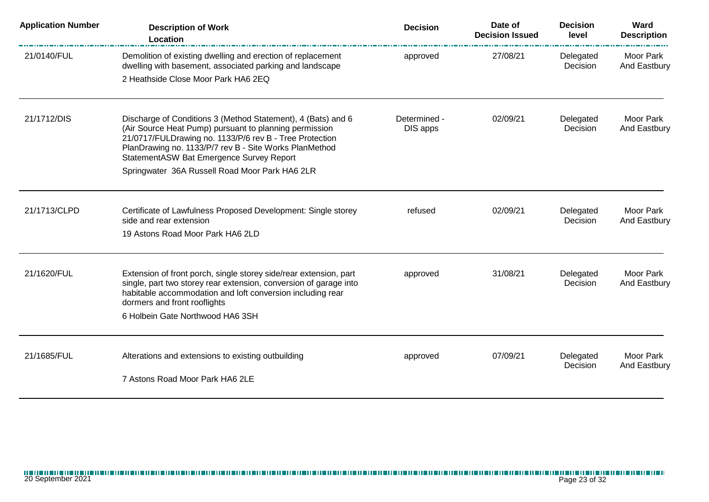| <b>Application Number</b> | <b>Description of Work</b><br>Location                                                                                                                                                                                                                                                  | <b>Decision</b>          | Date of<br><b>Decision Issued</b> | <b>Decision</b><br>level | Ward<br><b>Description</b> |
|---------------------------|-----------------------------------------------------------------------------------------------------------------------------------------------------------------------------------------------------------------------------------------------------------------------------------------|--------------------------|-----------------------------------|--------------------------|----------------------------|
| 21/0140/FUL               | Demolition of existing dwelling and erection of replacement<br>dwelling with basement, associated parking and landscape<br>2 Heathside Close Moor Park HA6 2EQ                                                                                                                          | approved                 | 27/08/21                          | Delegated<br>Decision    | Moor Park<br>And Eastbury  |
|                           |                                                                                                                                                                                                                                                                                         |                          |                                   |                          |                            |
| 21/1712/DIS               | Discharge of Conditions 3 (Method Statement), 4 (Bats) and 6<br>(Air Source Heat Pump) pursuant to planning permission<br>21/0717/FULDrawing no. 1133/P/6 rev B - Tree Protection<br>PlanDrawing no. 1133/P/7 rev B - Site Works PlanMethod<br>StatementASW Bat Emergence Survey Report | Determined -<br>DIS apps | 02/09/21                          | Delegated<br>Decision    | Moor Park<br>And Eastbury  |
|                           | Springwater 36A Russell Road Moor Park HA6 2LR                                                                                                                                                                                                                                          |                          |                                   |                          |                            |
| 21/1713/CLPD              | Certificate of Lawfulness Proposed Development: Single storey<br>side and rear extension                                                                                                                                                                                                | refused                  | 02/09/21                          | Delegated<br>Decision    | Moor Park<br>And Eastbury  |
|                           | 19 Astons Road Moor Park HA6 2LD                                                                                                                                                                                                                                                        |                          |                                   |                          |                            |
| 21/1620/FUL               | Extension of front porch, single storey side/rear extension, part<br>single, part two storey rear extension, conversion of garage into<br>habitable accommodation and loft conversion including rear<br>dormers and front rooflights                                                    | approved                 | 31/08/21                          | Delegated<br>Decision    | Moor Park<br>And Eastbury  |
|                           | 6 Holbein Gate Northwood HA6 3SH                                                                                                                                                                                                                                                        |                          |                                   |                          |                            |
| 21/1685/FUL               | Alterations and extensions to existing outbuilding                                                                                                                                                                                                                                      | approved                 | 07/09/21                          | Delegated<br>Decision    | Moor Park<br>And Eastbury  |
|                           | 7 Astons Road Moor Park HA6 2LE                                                                                                                                                                                                                                                         |                          |                                   |                          |                            |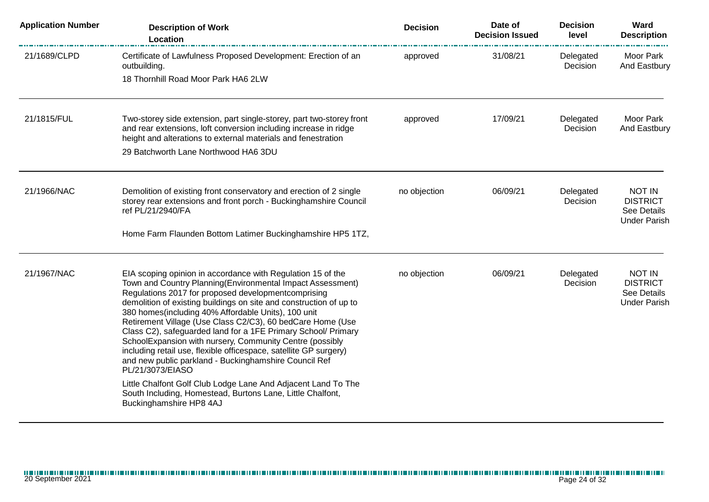| <b>Application Number</b> | <b>Description of Work</b><br>Location                                                                                                                                                                                                                                                                                                                                                                                                                                                                                                                                                                                                                     | <b>Decision</b> | Date of<br><b>Decision Issued</b> | <b>Decision</b><br>level | Ward<br><b>Description</b>                                             |
|---------------------------|------------------------------------------------------------------------------------------------------------------------------------------------------------------------------------------------------------------------------------------------------------------------------------------------------------------------------------------------------------------------------------------------------------------------------------------------------------------------------------------------------------------------------------------------------------------------------------------------------------------------------------------------------------|-----------------|-----------------------------------|--------------------------|------------------------------------------------------------------------|
| 21/1689/CLPD              | Certificate of Lawfulness Proposed Development: Erection of an<br>outbuilding.<br>18 Thornhill Road Moor Park HA6 2LW                                                                                                                                                                                                                                                                                                                                                                                                                                                                                                                                      | approved        | 31/08/21                          | Delegated<br>Decision    | Moor Park<br>And Eastbury                                              |
| 21/1815/FUL               | Two-storey side extension, part single-storey, part two-storey front<br>and rear extensions, loft conversion including increase in ridge<br>height and alterations to external materials and fenestration<br>29 Batchworth Lane Northwood HA6 3DU                                                                                                                                                                                                                                                                                                                                                                                                          | approved        | 17/09/21                          | Delegated<br>Decision    | Moor Park<br>And Eastbury                                              |
| 21/1966/NAC               | Demolition of existing front conservatory and erection of 2 single<br>storey rear extensions and front porch - Buckinghamshire Council<br>ref PL/21/2940/FA                                                                                                                                                                                                                                                                                                                                                                                                                                                                                                | no objection    | 06/09/21                          | Delegated<br>Decision    | <b>NOT IN</b><br><b>DISTRICT</b><br>See Details<br><b>Under Parish</b> |
|                           | Home Farm Flaunden Bottom Latimer Buckinghamshire HP5 1TZ,                                                                                                                                                                                                                                                                                                                                                                                                                                                                                                                                                                                                 |                 |                                   |                          |                                                                        |
| 21/1967/NAC               | EIA scoping opinion in accordance with Regulation 15 of the<br>Town and Country Planning(Environmental Impact Assessment)<br>Regulations 2017 for proposed developmentcomprising<br>demolition of existing buildings on site and construction of up to<br>380 homes(including 40% Affordable Units), 100 unit<br>Retirement Village (Use Class C2/C3), 60 bedCare Home (Use<br>Class C2), safeguarded land for a 1FE Primary School/ Primary<br>SchoolExpansion with nursery, Community Centre (possibly<br>including retail use, flexible officespace, satellite GP surgery)<br>and new public parkland - Buckinghamshire Council Ref<br>PL/21/3073/EIASO | no objection    | 06/09/21                          | Delegated<br>Decision    | <b>NOT IN</b><br><b>DISTRICT</b><br>See Details<br><b>Under Parish</b> |
|                           | Little Chalfont Golf Club Lodge Lane And Adjacent Land To The<br>South Including, Homestead, Burtons Lane, Little Chalfont,<br>Buckinghamshire HP8 4AJ                                                                                                                                                                                                                                                                                                                                                                                                                                                                                                     |                 |                                   |                          |                                                                        |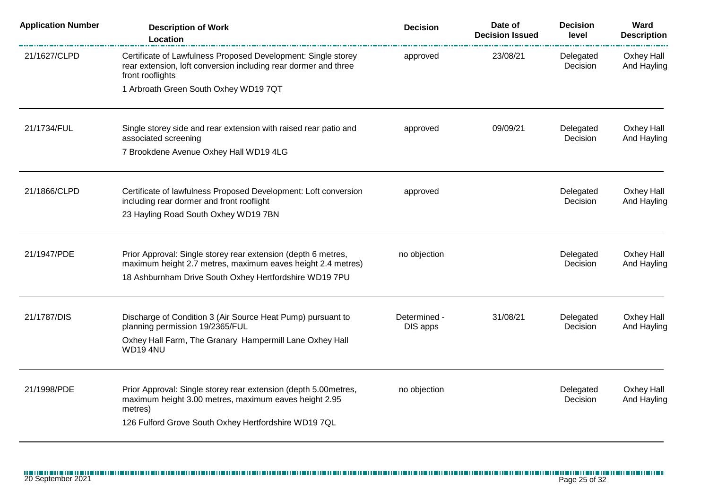| <b>Application Number</b> | <b>Description of Work</b><br>Location                                                                                                                                                      | <b>Decision</b>          | Date of<br><b>Decision Issued</b> | <b>Decision</b><br>level | Ward<br><b>Description</b>       |
|---------------------------|---------------------------------------------------------------------------------------------------------------------------------------------------------------------------------------------|--------------------------|-----------------------------------|--------------------------|----------------------------------|
| 21/1627/CLPD              | Certificate of Lawfulness Proposed Development: Single storey<br>rear extension, loft conversion including rear dormer and three<br>front rooflights                                        | approved                 | 23/08/21                          | Delegated<br>Decision    | Oxhey Hall<br>And Hayling        |
|                           | 1 Arbroath Green South Oxhey WD19 7QT                                                                                                                                                       |                          |                                   |                          |                                  |
| 21/1734/FUL               | Single storey side and rear extension with raised rear patio and<br>associated screening                                                                                                    | approved                 | 09/09/21                          | Delegated<br>Decision    | Oxhey Hall<br>And Hayling        |
|                           | 7 Brookdene Avenue Oxhey Hall WD19 4LG                                                                                                                                                      |                          |                                   |                          |                                  |
| 21/1866/CLPD              | Certificate of lawfulness Proposed Development: Loft conversion<br>including rear dormer and front rooflight<br>23 Hayling Road South Oxhey WD19 7BN                                        | approved                 |                                   | Delegated<br>Decision    | Oxhey Hall<br>And Hayling        |
| 21/1947/PDE               | Prior Approval: Single storey rear extension (depth 6 metres,<br>maximum height 2.7 metres, maximum eaves height 2.4 metres)<br>18 Ashburnham Drive South Oxhey Hertfordshire WD19 7PU      | no objection             |                                   | Delegated<br>Decision    | Oxhey Hall<br>And Hayling        |
| 21/1787/DIS               | Discharge of Condition 3 (Air Source Heat Pump) pursuant to<br>planning permission 19/2365/FUL<br>Oxhey Hall Farm, The Granary Hampermill Lane Oxhey Hall<br>WD194NU                        | Determined -<br>DIS apps | 31/08/21                          | Delegated<br>Decision    | Oxhey Hall<br>And Hayling        |
| 21/1998/PDE               | Prior Approval: Single storey rear extension (depth 5.00metres,<br>maximum height 3.00 metres, maximum eaves height 2.95<br>metres)<br>126 Fulford Grove South Oxhey Hertfordshire WD19 7QL | no objection             |                                   | Delegated<br>Decision    | <b>Oxhey Hall</b><br>And Hayling |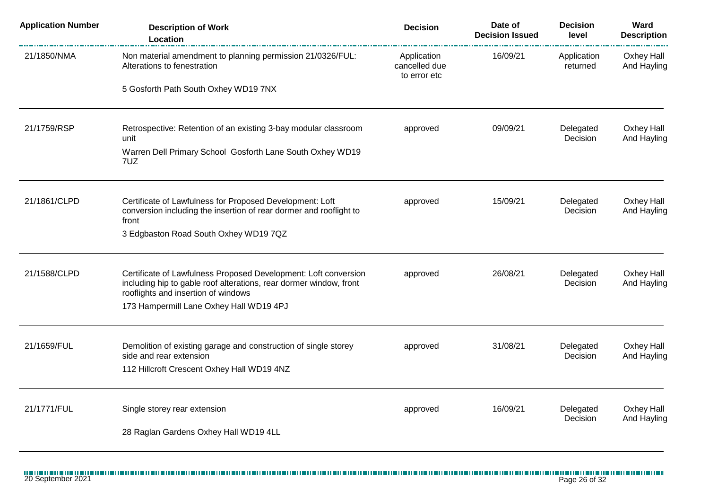| <b>Application Number</b> | <b>Description of Work</b><br>Location                                                                                                                                       | <b>Decision</b>                              | Date of<br><b>Decision Issued</b> | <b>Decision</b><br>level | Ward<br><b>Description</b> |
|---------------------------|------------------------------------------------------------------------------------------------------------------------------------------------------------------------------|----------------------------------------------|-----------------------------------|--------------------------|----------------------------|
| 21/1850/NMA               | Non material amendment to planning permission 21/0326/FUL:<br>Alterations to fenestration                                                                                    | Application<br>cancelled due<br>to error etc | 16/09/21                          | Application<br>returned  | Oxhey Hall<br>And Hayling  |
|                           | 5 Gosforth Path South Oxhey WD19 7NX                                                                                                                                         |                                              |                                   |                          |                            |
| 21/1759/RSP               | Retrospective: Retention of an existing 3-bay modular classroom<br>unit                                                                                                      | approved                                     | 09/09/21                          | Delegated<br>Decision    | Oxhey Hall<br>And Hayling  |
|                           | Warren Dell Primary School Gosforth Lane South Oxhey WD19<br>7UZ                                                                                                             |                                              |                                   |                          |                            |
| 21/1861/CLPD              | Certificate of Lawfulness for Proposed Development: Loft<br>conversion including the insertion of rear dormer and rooflight to<br>front                                      | approved                                     | 15/09/21                          | Delegated<br>Decision    | Oxhey Hall<br>And Hayling  |
|                           | 3 Edgbaston Road South Oxhey WD19 7QZ                                                                                                                                        |                                              |                                   |                          |                            |
| 21/1588/CLPD              | Certificate of Lawfulness Proposed Development: Loft conversion<br>including hip to gable roof alterations, rear dormer window, front<br>rooflights and insertion of windows | approved                                     | 26/08/21                          | Delegated<br>Decision    | Oxhey Hall<br>And Hayling  |
|                           | 173 Hampermill Lane Oxhey Hall WD19 4PJ                                                                                                                                      |                                              |                                   |                          |                            |
| 21/1659/FUL               | Demolition of existing garage and construction of single storey<br>side and rear extension                                                                                   | approved                                     | 31/08/21                          | Delegated<br>Decision    | Oxhey Hall<br>And Hayling  |
|                           | 112 Hillcroft Crescent Oxhey Hall WD19 4NZ                                                                                                                                   |                                              |                                   |                          |                            |
| 21/1771/FUL               | Single storey rear extension                                                                                                                                                 | approved                                     | 16/09/21                          | Delegated<br>Decision    | Oxhey Hall<br>And Hayling  |
|                           | 28 Raglan Gardens Oxhey Hall WD19 4LL                                                                                                                                        |                                              |                                   |                          |                            |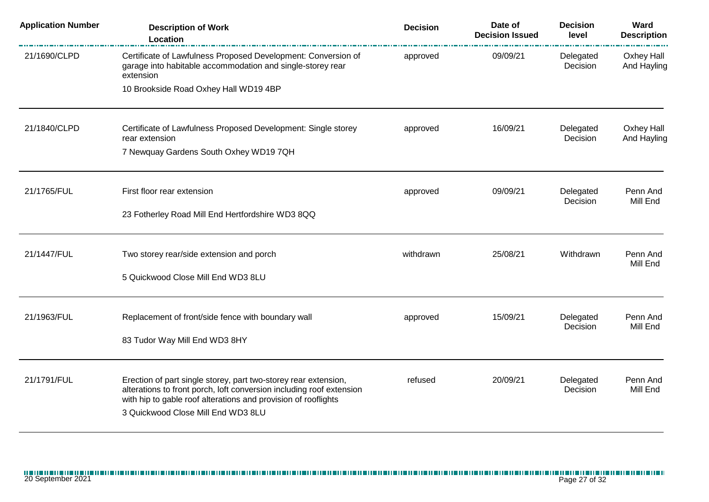| <b>Description of Work</b><br>Location                                                                                                   | <b>Decision</b>                                                                                                                                         | Date of<br><b>Decision Issued</b> | <b>Decision</b><br>level | Ward<br><b>Description</b>       |
|------------------------------------------------------------------------------------------------------------------------------------------|---------------------------------------------------------------------------------------------------------------------------------------------------------|-----------------------------------|--------------------------|----------------------------------|
| Certificate of Lawfulness Proposed Development: Conversion of<br>garage into habitable accommodation and single-storey rear<br>extension | approved                                                                                                                                                | 09/09/21                          | Delegated<br>Decision    | Oxhey Hall<br>And Hayling        |
|                                                                                                                                          |                                                                                                                                                         |                                   |                          |                                  |
| Certificate of Lawfulness Proposed Development: Single storey<br>rear extension                                                          | approved                                                                                                                                                | 16/09/21                          | Delegated<br>Decision    | Oxhey Hall<br>And Hayling        |
|                                                                                                                                          |                                                                                                                                                         |                                   |                          |                                  |
| First floor rear extension                                                                                                               | approved                                                                                                                                                | 09/09/21                          | Delegated                | Penn And<br>Mill End             |
| 23 Fotherley Road Mill End Hertfordshire WD3 8QQ                                                                                         |                                                                                                                                                         |                                   |                          |                                  |
| Two storey rear/side extension and porch                                                                                                 | withdrawn                                                                                                                                               | 25/08/21                          | Withdrawn                | Penn And<br>Mill End             |
| 5 Quickwood Close Mill End WD3 8LU                                                                                                       |                                                                                                                                                         |                                   |                          |                                  |
| Replacement of front/side fence with boundary wall                                                                                       | approved                                                                                                                                                | 15/09/21                          | Delegated                | Penn And<br>Mill End             |
| 83 Tudor Way Mill End WD3 8HY                                                                                                            |                                                                                                                                                         |                                   |                          |                                  |
| Erection of part single storey, part two-storey rear extension,                                                                          | refused                                                                                                                                                 | 20/09/21                          | Delegated                | Penn And                         |
| with hip to gable roof alterations and provision of rooflights<br>3 Quickwood Close Mill End WD3 8LU                                     |                                                                                                                                                         |                                   |                          | Mill End                         |
|                                                                                                                                          | 10 Brookside Road Oxhey Hall WD19 4BP<br>7 Newquay Gardens South Oxhey WD19 7QH<br>alterations to front porch, loft conversion including roof extension |                                   |                          | Decision<br>Decision<br>Decision |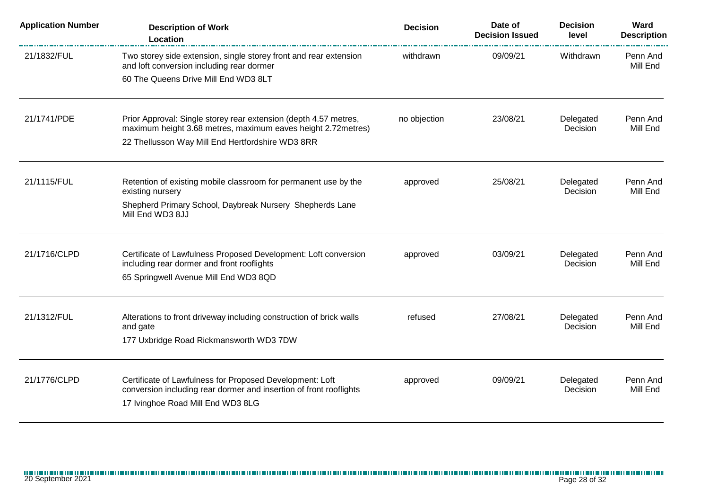| <b>Application Number</b> | <b>Description of Work</b><br>Location                                                                                            | <b>Decision</b> | Date of<br><b>Decision Issued</b> | <b>Decision</b><br>level | Ward<br><b>Description</b> |
|---------------------------|-----------------------------------------------------------------------------------------------------------------------------------|-----------------|-----------------------------------|--------------------------|----------------------------|
| 21/1832/FUL               | Two storey side extension, single storey front and rear extension<br>and loft conversion including rear dormer                    | withdrawn       | 09/09/21                          | Withdrawn                | Penn And<br>Mill End       |
|                           | 60 The Queens Drive Mill End WD3 8LT                                                                                              |                 |                                   |                          |                            |
| 21/1741/PDE               | Prior Approval: Single storey rear extension (depth 4.57 metres,<br>maximum height 3.68 metres, maximum eaves height 2.72 metres) | no objection    | 23/08/21                          | Delegated<br>Decision    | Penn And<br>Mill End       |
|                           | 22 Thellusson Way Mill End Hertfordshire WD3 8RR                                                                                  |                 |                                   |                          |                            |
| 21/1115/FUL               | Retention of existing mobile classroom for permanent use by the                                                                   | approved        | 25/08/21                          | Delegated<br>Decision    | Penn And<br>Mill End       |
|                           | existing nursery<br>Shepherd Primary School, Daybreak Nursery Shepherds Lane<br>Mill End WD3 8JJ                                  |                 |                                   |                          |                            |
| 21/1716/CLPD              | Certificate of Lawfulness Proposed Development: Loft conversion<br>including rear dormer and front rooflights                     | approved        | 03/09/21                          | Delegated<br>Decision    | Penn And<br>Mill End       |
|                           | 65 Springwell Avenue Mill End WD3 8QD                                                                                             |                 |                                   |                          |                            |
| 21/1312/FUL               | Alterations to front driveway including construction of brick walls                                                               | refused         | 27/08/21                          | Delegated<br>Decision    | Penn And<br>Mill End       |
|                           | and gate<br>177 Uxbridge Road Rickmansworth WD3 7DW                                                                               |                 |                                   |                          |                            |
| 21/1776/CLPD              | Certificate of Lawfulness for Proposed Development: Loft                                                                          | approved        | 09/09/21                          | Delegated                | Penn And                   |
|                           | conversion including rear dormer and insertion of front rooflights<br>17 Ivinghoe Road Mill End WD3 8LG                           |                 |                                   | Decision                 | Mill End                   |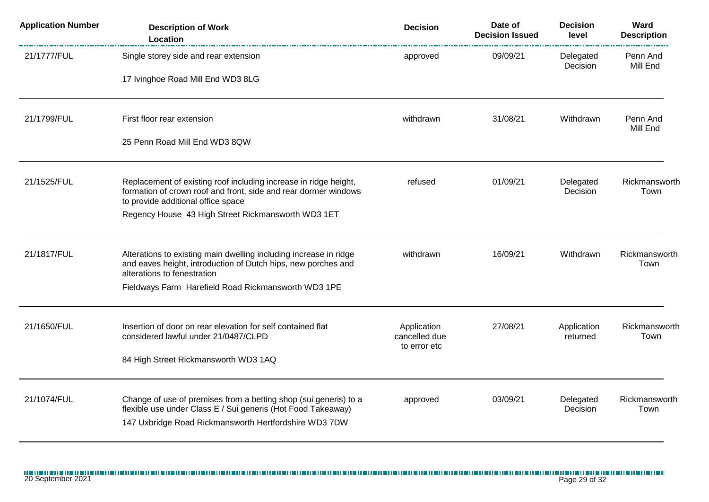| <b>Application Number</b> | <b>Description of Work</b><br>Location                                                                                                                                                    | <b>Decision</b>                              | Date of<br><b>Decision Issued</b> | <b>Decision</b><br>level | Ward<br><b>Description</b> |
|---------------------------|-------------------------------------------------------------------------------------------------------------------------------------------------------------------------------------------|----------------------------------------------|-----------------------------------|--------------------------|----------------------------|
| 21/1777/FUL               | Single storey side and rear extension                                                                                                                                                     | approved                                     | 09/09/21                          | Delegated<br>Decision    | Penn And<br>Mill End       |
|                           | 17 Ivinghoe Road Mill End WD3 8LG                                                                                                                                                         |                                              |                                   |                          |                            |
| 21/1799/FUL               | First floor rear extension                                                                                                                                                                | withdrawn                                    | 31/08/21                          | Withdrawn                | Penn And<br>Mill End       |
|                           | 25 Penn Road Mill End WD3 8QW                                                                                                                                                             |                                              |                                   |                          |                            |
| 21/1525/FUL               | Replacement of existing roof including increase in ridge height,<br>formation of crown roof and front, side and rear dormer windows<br>to provide additional office space                 | refused                                      | 01/09/21                          | Delegated<br>Decision    | Rickmansworth<br>Town      |
|                           | Regency House 43 High Street Rickmansworth WD3 1ET                                                                                                                                        |                                              |                                   |                          |                            |
| 21/1817/FUL               | Alterations to existing main dwelling including increase in ridge<br>and eaves height, introduction of Dutch hips, new porches and<br>alterations to fenestration                         | withdrawn                                    | 16/09/21                          | Withdrawn                | Rickmansworth<br>Town      |
|                           | Fieldways Farm Harefield Road Rickmansworth WD3 1PE                                                                                                                                       |                                              |                                   |                          |                            |
| 21/1650/FUL               | Insertion of door on rear elevation for self contained flat<br>considered lawful under 21/0487/CLPD                                                                                       | Application<br>cancelled due<br>to error etc | 27/08/21                          | Application<br>returned  | Rickmansworth<br>Town      |
|                           | 84 High Street Rickmansworth WD3 1AQ                                                                                                                                                      |                                              |                                   |                          |                            |
| 21/1074/FUL               | Change of use of premises from a betting shop (sui generis) to a<br>flexible use under Class E / Sui generis (Hot Food Takeaway)<br>147 Uxbridge Road Rickmansworth Hertfordshire WD3 7DW | approved                                     | 03/09/21                          | Delegated<br>Decision    | Rickmansworth<br>Town      |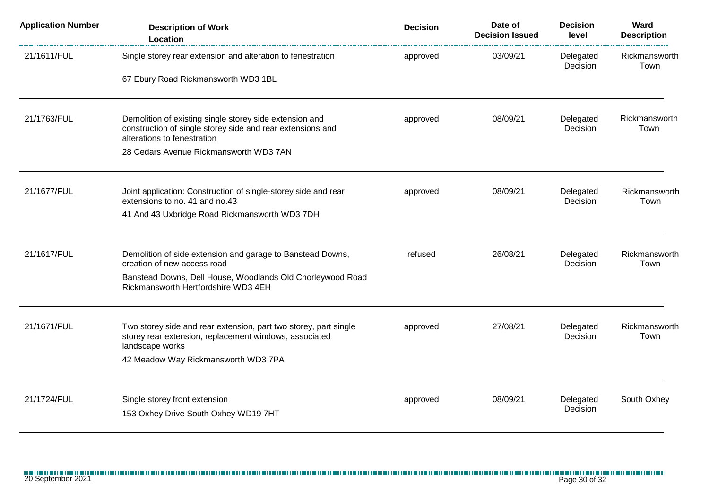| <b>Application Number</b> | <b>Description of Work</b><br><b>Location</b>                                                                                                        | <b>Decision</b> | Date of<br><b>Decision Issued</b> | <b>Decision</b><br>level | Ward<br><b>Description</b> |
|---------------------------|------------------------------------------------------------------------------------------------------------------------------------------------------|-----------------|-----------------------------------|--------------------------|----------------------------|
| 21/1611/FUL               | Single storey rear extension and alteration to fenestration                                                                                          | approved        | 03/09/21                          | Delegated<br>Decision    | Rickmansworth<br>Town      |
|                           | 67 Ebury Road Rickmansworth WD3 1BL                                                                                                                  |                 |                                   |                          |                            |
| 21/1763/FUL               | Demolition of existing single storey side extension and<br>construction of single storey side and rear extensions and<br>alterations to fenestration | approved        | 08/09/21                          | Delegated<br>Decision    | Rickmansworth<br>Town      |
|                           | 28 Cedars Avenue Rickmansworth WD3 7AN                                                                                                               |                 |                                   |                          |                            |
| 21/1677/FUL               | Joint application: Construction of single-storey side and rear<br>extensions to no. 41 and no.43                                                     | approved        | 08/09/21                          | Delegated<br>Decision    | Rickmansworth<br>Town      |
|                           | 41 And 43 Uxbridge Road Rickmansworth WD3 7DH                                                                                                        |                 |                                   |                          |                            |
| 21/1617/FUL               | Demolition of side extension and garage to Banstead Downs,<br>creation of new access road                                                            | refused         | 26/08/21                          | Delegated<br>Decision    | Rickmansworth<br>Town      |
|                           | Banstead Downs, Dell House, Woodlands Old Chorleywood Road<br>Rickmansworth Hertfordshire WD3 4EH                                                    |                 |                                   |                          |                            |
| 21/1671/FUL               | Two storey side and rear extension, part two storey, part single<br>storey rear extension, replacement windows, associated<br>landscape works        | approved        | 27/08/21                          | Delegated<br>Decision    | Rickmansworth<br>Town      |
|                           | 42 Meadow Way Rickmansworth WD3 7PA                                                                                                                  |                 |                                   |                          |                            |
| 21/1724/FUL               | Single storey front extension                                                                                                                        | approved        | 08/09/21                          | Delegated<br>Decision    | South Oxhey                |
|                           | 153 Oxhey Drive South Oxhey WD19 7HT                                                                                                                 |                 |                                   |                          |                            |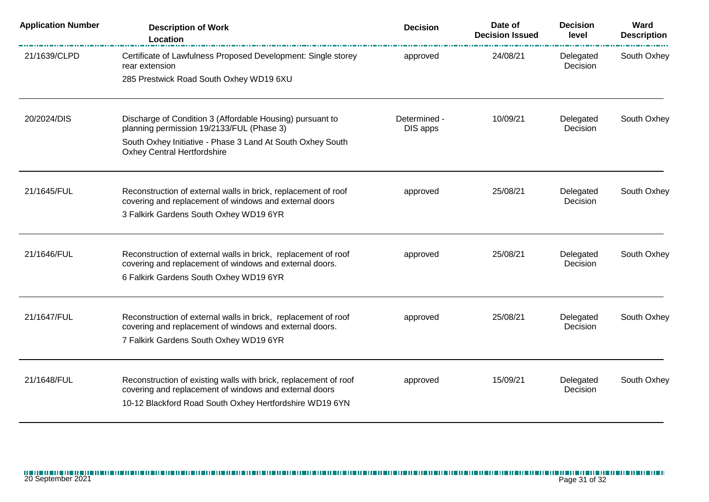| <b>Application Number</b> | <b>Description of Work</b><br>Location                                                                                                                                                | <b>Decision</b>          | Date of<br><b>Decision Issued</b> | <b>Decision</b><br>level | Ward<br><b>Description</b> |
|---------------------------|---------------------------------------------------------------------------------------------------------------------------------------------------------------------------------------|--------------------------|-----------------------------------|--------------------------|----------------------------|
| 21/1639/CLPD              | Certificate of Lawfulness Proposed Development: Single storey<br>rear extension                                                                                                       | approved                 | 24/08/21                          | Delegated<br>Decision    | South Oxhey                |
|                           | 285 Prestwick Road South Oxhey WD19 6XU                                                                                                                                               |                          |                                   |                          |                            |
| 20/2024/DIS               | Discharge of Condition 3 (Affordable Housing) pursuant to<br>planning permission 19/2133/FUL (Phase 3)                                                                                | Determined -<br>DIS apps | 10/09/21                          | Delegated<br>Decision    | South Oxhey                |
|                           | South Oxhey Initiative - Phase 3 Land At South Oxhey South<br><b>Oxhey Central Hertfordshire</b>                                                                                      |                          |                                   |                          |                            |
| 21/1645/FUL               | Reconstruction of external walls in brick, replacement of roof<br>covering and replacement of windows and external doors                                                              | approved                 | 25/08/21                          | Delegated<br>Decision    | South Oxhey                |
|                           | 3 Falkirk Gardens South Oxhey WD19 6YR                                                                                                                                                |                          |                                   |                          |                            |
| 21/1646/FUL               | Reconstruction of external walls in brick, replacement of roof<br>covering and replacement of windows and external doors.                                                             | approved                 | 25/08/21                          | Delegated<br>Decision    | South Oxhey                |
|                           | 6 Falkirk Gardens South Oxhey WD19 6YR                                                                                                                                                |                          |                                   |                          |                            |
| 21/1647/FUL               | Reconstruction of external walls in brick, replacement of roof<br>covering and replacement of windows and external doors.                                                             | approved                 | 25/08/21                          | Delegated<br>Decision    | South Oxhey                |
|                           | 7 Falkirk Gardens South Oxhey WD19 6YR                                                                                                                                                |                          |                                   |                          |                            |
| 21/1648/FUL               | Reconstruction of existing walls with brick, replacement of roof<br>covering and replacement of windows and external doors<br>10-12 Blackford Road South Oxhey Hertfordshire WD19 6YN | approved                 | 15/09/21                          | Delegated<br>Decision    | South Oxhey                |
|                           |                                                                                                                                                                                       |                          |                                   |                          |                            |